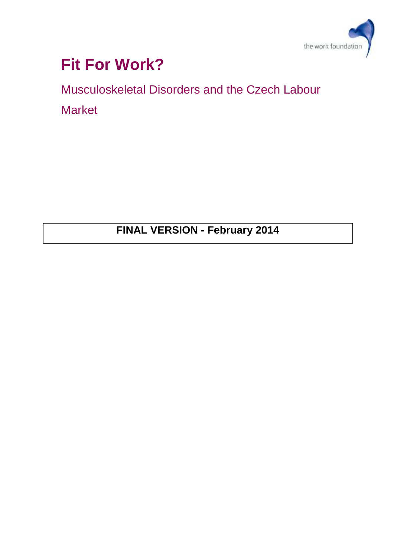

# **Fit For Work?**

Musculoskeletal Disorders and the Czech Labour Market

**FINAL VERSION - February 2014**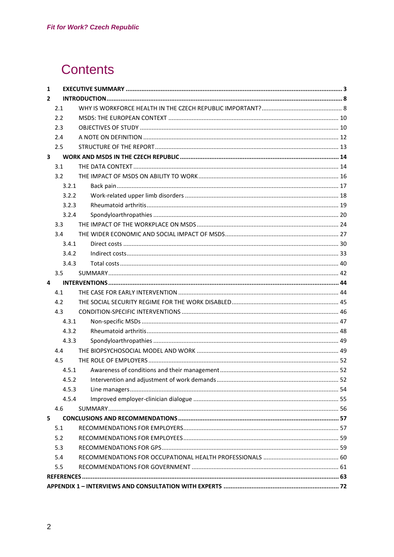# **Contents**

| 1              |       |  |  |
|----------------|-------|--|--|
| $\overline{2}$ |       |  |  |
|                | 2.1   |  |  |
|                | 2.2   |  |  |
|                | 2.3   |  |  |
|                | 2.4   |  |  |
|                | 2.5   |  |  |
| 3              |       |  |  |
|                | 3.1   |  |  |
|                | 3.2   |  |  |
|                | 3.2.1 |  |  |
|                | 3.2.2 |  |  |
|                | 3.2.3 |  |  |
|                | 3.2.4 |  |  |
|                | 3.3   |  |  |
|                | 3.4   |  |  |
|                | 3.4.1 |  |  |
|                | 3.4.2 |  |  |
|                | 3.4.3 |  |  |
|                | 3.5   |  |  |
| 4              |       |  |  |
|                | 4.1   |  |  |
|                | 4.2   |  |  |
|                | 4.3   |  |  |
|                | 4.3.1 |  |  |
|                | 4.3.2 |  |  |
|                | 4.3.3 |  |  |
|                | 4.4   |  |  |
|                | 4.5   |  |  |
|                | 4.5.1 |  |  |
|                |       |  |  |
|                | 4.5.3 |  |  |
|                | 4.5.4 |  |  |
|                | 4.6   |  |  |
| 5              |       |  |  |
|                | 5.1   |  |  |
|                | 5.2   |  |  |
|                | 5.3   |  |  |
|                | 5.4   |  |  |
|                | 5.5   |  |  |
|                |       |  |  |
|                |       |  |  |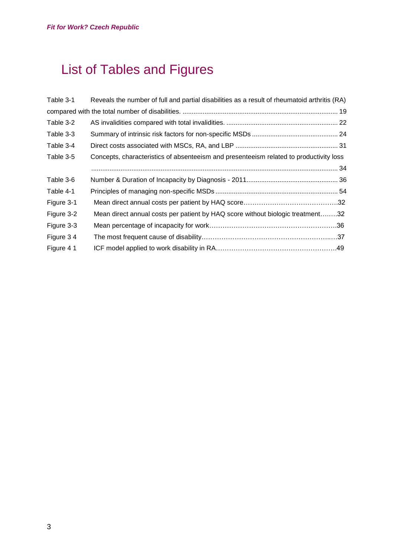# <span id="page-2-0"></span>List of Tables and Figures

| Reveals the number of full and partial disabilities as a result of rheumatoid arthritis (RA) |  |
|----------------------------------------------------------------------------------------------|--|
|                                                                                              |  |
|                                                                                              |  |
|                                                                                              |  |
|                                                                                              |  |
| Concepts, characteristics of absenteeism and presenteeism related to productivity loss       |  |
|                                                                                              |  |
|                                                                                              |  |
|                                                                                              |  |
|                                                                                              |  |
| Mean direct annual costs per patient by HAQ score without biologic treatment32               |  |
|                                                                                              |  |
|                                                                                              |  |
|                                                                                              |  |
|                                                                                              |  |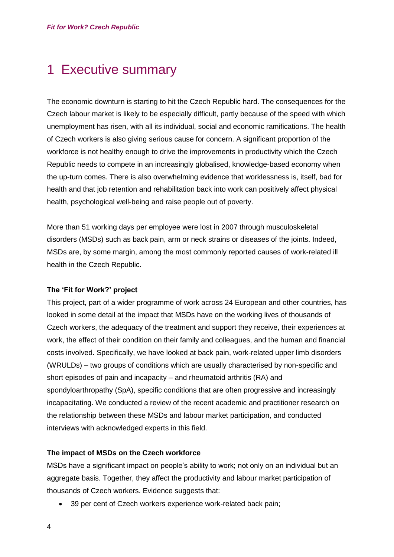# 1 Executive summary

The economic downturn is starting to hit the Czech Republic hard. The consequences for the Czech labour market is likely to be especially difficult, partly because of the speed with which unemployment has risen, with all its individual, social and economic ramifications. The health of Czech workers is also giving serious cause for concern. A significant proportion of the workforce is not healthy enough to drive the improvements in productivity which the Czech Republic needs to compete in an increasingly globalised, knowledge-based economy when the up-turn comes. There is also overwhelming evidence that worklessness is, itself, bad for health and that job retention and rehabilitation back into work can positively affect physical health, psychological well-being and raise people out of poverty.

More than 51 working days per employee were lost in 2007 through musculoskeletal disorders (MSDs) such as back pain, arm or neck strains or diseases of the joints. Indeed, MSDs are, by some margin, among the most commonly reported causes of work-related ill health in the Czech Republic.

### **The 'Fit for Work?' project**

This project, part of a wider programme of work across 24 European and other countries, has looked in some detail at the impact that MSDs have on the working lives of thousands of Czech workers, the adequacy of the treatment and support they receive, their experiences at work, the effect of their condition on their family and colleagues, and the human and financial costs involved. Specifically, we have looked at back pain, work-related upper limb disorders (WRULDs) – two groups of conditions which are usually characterised by non-specific and short episodes of pain and incapacity – and rheumatoid arthritis (RA) and spondyloarthropathy (SpA), specific conditions that are often progressive and increasingly incapacitating. We conducted a review of the recent academic and practitioner research on the relationship between these MSDs and labour market participation, and conducted interviews with acknowledged experts in this field.

### **The impact of MSDs on the Czech workforce**

MSDs have a significant impact on people's ability to work; not only on an individual but an aggregate basis. Together, they affect the productivity and labour market participation of thousands of Czech workers. Evidence suggests that:

• 39 per cent of Czech workers experience work-related back pain;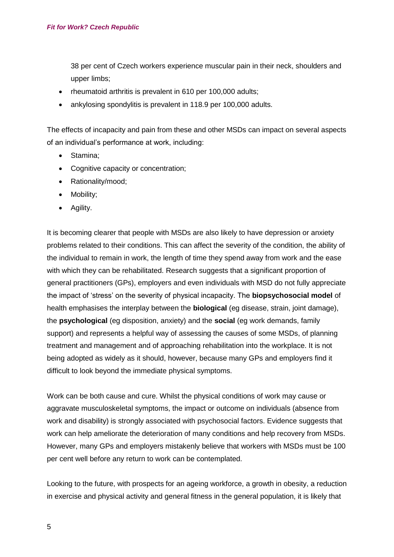38 per cent of Czech workers experience muscular pain in their neck, shoulders and upper limbs;

- rheumatoid arthritis is prevalent in 610 per 100,000 adults;
- ankylosing spondylitis is prevalent in 118.9 per 100,000 adults.

The effects of incapacity and pain from these and other MSDs can impact on several aspects of an individual's performance at work, including:

- Stamina;
- Cognitive capacity or concentration;
- Rationality/mood;
- Mobility;
- Agility.

It is becoming clearer that people with MSDs are also likely to have depression or anxiety problems related to their conditions. This can affect the severity of the condition, the ability of the individual to remain in work, the length of time they spend away from work and the ease with which they can be rehabilitated. Research suggests that a significant proportion of general practitioners (GPs), employers and even individuals with MSD do not fully appreciate the impact of 'stress' on the severity of physical incapacity. The **biopsychosocial model** of health emphasises the interplay between the **biological** (eg disease, strain, joint damage), the **psychological** (eg disposition, anxiety) and the **social** (eg work demands, family support) and represents a helpful way of assessing the causes of some MSDs, of planning treatment and management and of approaching rehabilitation into the workplace. It is not being adopted as widely as it should, however, because many GPs and employers find it difficult to look beyond the immediate physical symptoms.

Work can be both cause and cure. Whilst the physical conditions of work may cause or aggravate musculoskeletal symptoms, the impact or outcome on individuals (absence from work and disability) is strongly associated with psychosocial factors. Evidence suggests that work can help ameliorate the deterioration of many conditions and help recovery from MSDs. However, many GPs and employers mistakenly believe that workers with MSDs must be 100 per cent well before any return to work can be contemplated.

Looking to the future, with prospects for an ageing workforce, a growth in obesity, a reduction in exercise and physical activity and general fitness in the general population, it is likely that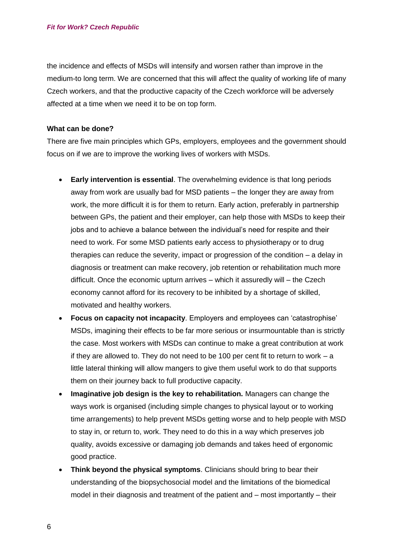the incidence and effects of MSDs will intensify and worsen rather than improve in the medium-to long term. We are concerned that this will affect the quality of working life of many Czech workers, and that the productive capacity of the Czech workforce will be adversely affected at a time when we need it to be on top form.

#### **What can be done?**

There are five main principles which GPs, employers, employees and the government should focus on if we are to improve the working lives of workers with MSDs.

- **Early intervention is essential**. The overwhelming evidence is that long periods away from work are usually bad for MSD patients – the longer they are away from work, the more difficult it is for them to return. Early action, preferably in partnership between GPs, the patient and their employer, can help those with MSDs to keep their jobs and to achieve a balance between the individual's need for respite and their need to work. For some MSD patients early access to physiotherapy or to drug therapies can reduce the severity, impact or progression of the condition – a delay in diagnosis or treatment can make recovery, job retention or rehabilitation much more difficult. Once the economic upturn arrives – which it assuredly will – the Czech economy cannot afford for its recovery to be inhibited by a shortage of skilled, motivated and healthy workers.
- **Focus on capacity not incapacity**. Employers and employees can 'catastrophise' MSDs, imagining their effects to be far more serious or insurmountable than is strictly the case. Most workers with MSDs can continue to make a great contribution at work if they are allowed to. They do not need to be 100 per cent fit to return to work – a little lateral thinking will allow mangers to give them useful work to do that supports them on their journey back to full productive capacity.
- **Imaginative job design is the key to rehabilitation.** Managers can change the ways work is organised (including simple changes to physical layout or to working time arrangements) to help prevent MSDs getting worse and to help people with MSD to stay in, or return to, work. They need to do this in a way which preserves job quality, avoids excessive or damaging job demands and takes heed of ergonomic good practice.
- **Think beyond the physical symptoms**. Clinicians should bring to bear their understanding of the biopsychosocial model and the limitations of the biomedical model in their diagnosis and treatment of the patient and – most importantly – their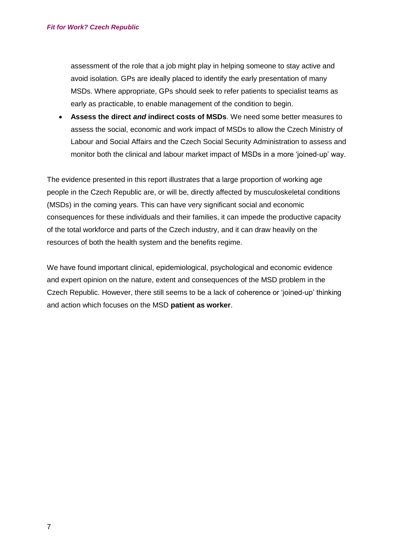assessment of the role that a job might play in helping someone to stay active and avoid isolation. GPs are ideally placed to identify the early presentation of many MSDs. Where appropriate, GPs should seek to refer patients to specialist teams as early as practicable, to enable management of the condition to begin.

 **Assess the direct** *and* **indirect costs of MSDs**. We need some better measures to assess the social, economic and work impact of MSDs to allow the Czech Ministry of Labour and Social Affairs and the Czech Social Security Administration to assess and monitor both the clinical and labour market impact of MSDs in a more 'joined-up' way.

The evidence presented in this report illustrates that a large proportion of working age people in the Czech Republic are, or will be, directly affected by musculoskeletal conditions (MSDs) in the coming years. This can have very significant social and economic consequences for these individuals and their families, it can impede the productive capacity of the total workforce and parts of the Czech industry, and it can draw heavily on the resources of both the health system and the benefits regime.

We have found important clinical, epidemiological, psychological and economic evidence and expert opinion on the nature, extent and consequences of the MSD problem in the Czech Republic. However, there still seems to be a lack of coherence or 'joined-up' thinking and action which focuses on the MSD **patient as worker**.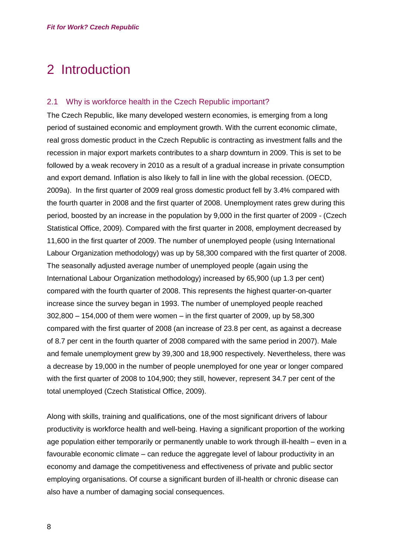# <span id="page-7-0"></span>2 Introduction

#### <span id="page-7-1"></span>2.1 Why is workforce health in the Czech Republic important?

The Czech Republic, like many developed western economies, is emerging from a long period of sustained economic and employment growth. With the current economic climate, real gross domestic product in the Czech Republic is contracting as investment falls and the recession in major export markets contributes to a sharp downturn in 2009. This is set to be followed by a weak recovery in 2010 as a result of a gradual increase in private consumption and export demand. Inflation is also likely to fall in line with the global recession. (OECD, 2009a). In the first quarter of 2009 real gross domestic product fell by 3.4% compared with the fourth quarter in 2008 and the first quarter of 2008. Unemployment rates grew during this period, boosted by an increase in the population by 9,000 in the first quarter of 2009 - (Czech Statistical Office, 2009). Compared with the first quarter in 2008, employment decreased by 11,600 in the first quarter of 2009. The number of unemployed people (using International Labour Organization methodology) was up by 58,300 compared with the first quarter of 2008. The seasonally adjusted average number of unemployed people (again using the International Labour Organization methodology) increased by 65,900 (up 1.3 per cent) compared with the fourth quarter of 2008. This represents the highest quarter-on-quarter increase since the survey began in 1993. The number of unemployed people reached 302,800 – 154,000 of them were women – in the first quarter of 2009, up by 58,300 compared with the first quarter of 2008 (an increase of 23.8 per cent, as against a decrease of 8.7 per cent in the fourth quarter of 2008 compared with the same period in 2007). Male and female unemployment grew by 39,300 and 18,900 respectively. Nevertheless, there was a decrease by 19,000 in the number of people unemployed for one year or longer compared with the first quarter of 2008 to 104,900; they still, however, represent 34.7 per cent of the total unemployed (Czech Statistical Office, 2009).

Along with skills, training and qualifications, one of the most significant drivers of labour productivity is workforce health and well-being. Having a significant proportion of the working age population either temporarily or permanently unable to work through ill-health – even in a favourable economic climate – can reduce the aggregate level of labour productivity in an economy and damage the competitiveness and effectiveness of private and public sector employing organisations. Of course a significant burden of ill-health or chronic disease can also have a number of damaging social consequences.

8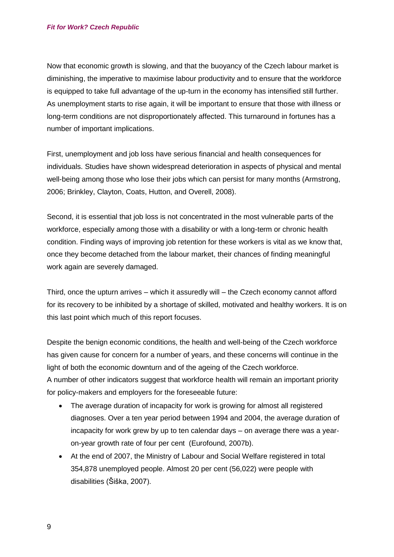Now that economic growth is slowing, and that the buoyancy of the Czech labour market is diminishing, the imperative to maximise labour productivity and to ensure that the workforce is equipped to take full advantage of the up-turn in the economy has intensified still further. As unemployment starts to rise again, it will be important to ensure that those with illness or long-term conditions are not disproportionately affected. This turnaround in fortunes has a number of important implications.

First, unemployment and job loss have serious financial and health consequences for individuals. Studies have shown widespread deterioration in aspects of physical and mental well-being among those who lose their jobs which can persist for many months (Armstrong, 2006; Brinkley, Clayton, Coats, Hutton, and Overell, 2008).

Second, it is essential that job loss is not concentrated in the most vulnerable parts of the workforce, especially among those with a disability or with a long-term or chronic health condition. Finding ways of improving job retention for these workers is vital as we know that, once they become detached from the labour market, their chances of finding meaningful work again are severely damaged.

Third, once the upturn arrives – which it assuredly will – the Czech economy cannot afford for its recovery to be inhibited by a shortage of skilled, motivated and healthy workers. It is on this last point which much of this report focuses.

Despite the benign economic conditions, the health and well-being of the Czech workforce has given cause for concern for a number of years, and these concerns will continue in the light of both the economic downturn and of the ageing of the Czech workforce. A number of other indicators suggest that workforce health will remain an important priority for policy-makers and employers for the foreseeable future:

- The average duration of incapacity for work is growing for almost all registered diagnoses. Over a ten year period between 1994 and 2004, the average duration of incapacity for work grew by up to ten calendar days – on average there was a yearon-year growth rate of four per cent (Eurofound, 2007b).
- At the end of 2007, the Ministry of Labour and Social Welfare registered in total 354,878 unemployed people. Almost 20 per cent (56,022) were people with disabilities (Šiška, 2007).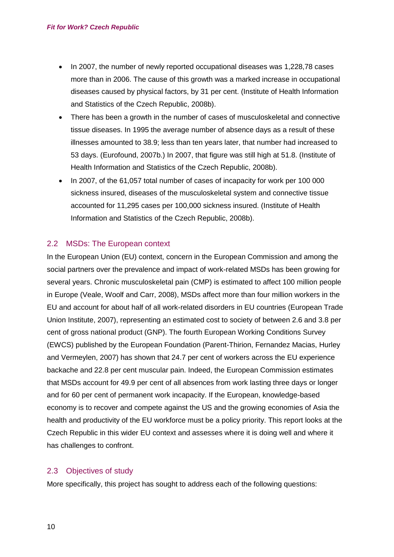- In 2007, the number of newly reported occupational diseases was 1,228,78 cases more than in 2006. The cause of this growth was a marked increase in occupational diseases caused by physical factors, by 31 per cent. (Institute of Health Information and Statistics of the Czech Republic, 2008b).
- There has been a growth in the number of cases of musculoskeletal and connective tissue diseases. In 1995 the average number of absence days as a result of these illnesses amounted to 38.9; less than ten years later, that number had increased to 53 days. (Eurofound, 2007b.) In 2007, that figure was still high at 51.8. (Institute of Health Information and Statistics of the Czech Republic, 2008b).
- In 2007, of the 61,057 total number of cases of incapacity for work per 100 000 sickness insured, diseases of the musculoskeletal system and connective tissue accounted for 11,295 cases per 100,000 sickness insured. (Institute of Health Information and Statistics of the Czech Republic, 2008b).

### <span id="page-9-0"></span>2.2 MSDs: The European context

In the European Union (EU) context, concern in the European Commission and among the social partners over the prevalence and impact of work-related MSDs has been growing for several years. Chronic musculoskeletal pain (CMP) is estimated to affect 100 million people in Europe (Veale, Woolf and Carr, 2008), MSDs affect more than four million workers in the EU and account for about half of all work-related disorders in EU countries (European Trade Union Institute, 2007), representing an estimated cost to society of between 2.6 and 3.8 per cent of gross national product (GNP). The fourth European Working Conditions Survey (EWCS) published by the European Foundation (Parent-Thirion, Fernandez Macias, Hurley and Vermeylen, 2007) has shown that 24.7 per cent of workers across the EU experience backache and 22.8 per cent muscular pain. Indeed, the European Commission estimates that MSDs account for 49.9 per cent of all absences from work lasting three days or longer and for 60 per cent of permanent work incapacity. If the European, knowledge-based economy is to recover and compete against the US and the growing economies of Asia the health and productivity of the EU workforce must be a policy priority. This report looks at the Czech Republic in this wider EU context and assesses where it is doing well and where it has challenges to confront.

# <span id="page-9-1"></span>2.3 Objectives of study

More specifically, this project has sought to address each of the following questions: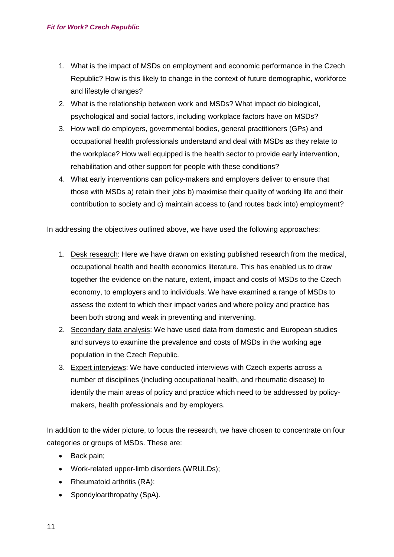- 1. What is the impact of MSDs on employment and economic performance in the Czech Republic? How is this likely to change in the context of future demographic, workforce and lifestyle changes?
- 2. What is the relationship between work and MSDs? What impact do biological, psychological and social factors, including workplace factors have on MSDs?
- 3. How well do employers, governmental bodies, general practitioners (GPs) and occupational health professionals understand and deal with MSDs as they relate to the workplace? How well equipped is the health sector to provide early intervention, rehabilitation and other support for people with these conditions?
- 4. What early interventions can policy-makers and employers deliver to ensure that those with MSDs a) retain their jobs b) maximise their quality of working life and their contribution to society and c) maintain access to (and routes back into) employment?

In addressing the objectives outlined above, we have used the following approaches:

- 1. Desk research: Here we have drawn on existing published research from the medical, occupational health and health economics literature. This has enabled us to draw together the evidence on the nature, extent, impact and costs of MSDs to the Czech economy, to employers and to individuals. We have examined a range of MSDs to assess the extent to which their impact varies and where policy and practice has been both strong and weak in preventing and intervening.
- 2. Secondary data analysis: We have used data from domestic and European studies and surveys to examine the prevalence and costs of MSDs in the working age population in the Czech Republic.
- 3. Expert interviews: We have conducted interviews with Czech experts across a number of disciplines (including occupational health, and rheumatic disease) to identify the main areas of policy and practice which need to be addressed by policymakers, health professionals and by employers.

In addition to the wider picture, to focus the research, we have chosen to concentrate on four categories or groups of MSDs. These are:

- Back pain;
- Work-related upper-limb disorders (WRULDs);
- Rheumatoid arthritis (RA):
- Spondyloarthropathy (SpA).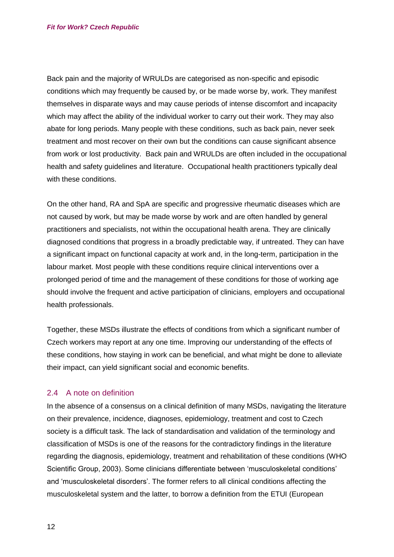Back pain and the majority of WRULDs are categorised as non-specific and episodic conditions which may frequently be caused by, or be made worse by, work. They manifest themselves in disparate ways and may cause periods of intense discomfort and incapacity which may affect the ability of the individual worker to carry out their work. They may also abate for long periods. Many people with these conditions, such as back pain, never seek treatment and most recover on their own but the conditions can cause significant absence from work or lost productivity. Back pain and WRULDs are often included in the occupational health and safety guidelines and literature. Occupational health practitioners typically deal with these conditions.

On the other hand, RA and SpA are specific and progressive rheumatic diseases which are not caused by work, but may be made worse by work and are often handled by general practitioners and specialists, not within the occupational health arena. They are clinically diagnosed conditions that progress in a broadly predictable way, if untreated. They can have a significant impact on functional capacity at work and, in the long-term, participation in the labour market. Most people with these conditions require clinical interventions over a prolonged period of time and the management of these conditions for those of working age should involve the frequent and active participation of clinicians, employers and occupational health professionals.

Together, these MSDs illustrate the effects of conditions from which a significant number of Czech workers may report at any one time. Improving our understanding of the effects of these conditions, how staying in work can be beneficial, and what might be done to alleviate their impact, can yield significant social and economic benefits.

#### <span id="page-11-0"></span>2.4 A note on definition

In the absence of a consensus on a clinical definition of many MSDs, navigating the literature on their prevalence, incidence, diagnoses, epidemiology, treatment and cost to Czech society is a difficult task. The lack of standardisation and validation of the terminology and classification of MSDs is one of the reasons for the contradictory findings in the literature regarding the diagnosis, epidemiology, treatment and rehabilitation of these conditions (WHO Scientific Group, 2003). Some clinicians differentiate between 'musculoskeletal conditions' and 'musculoskeletal disorders'. The former refers to all clinical conditions affecting the musculoskeletal system and the latter, to borrow a definition from the ETUI (European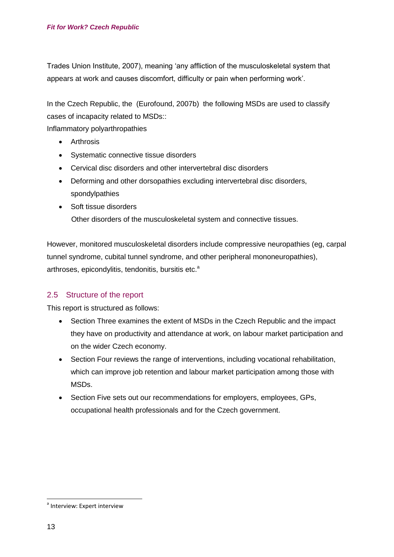Trades Union Institute, 2007), meaning 'any affliction of the musculoskeletal system that appears at work and causes discomfort, difficulty or pain when performing work'.

In the Czech Republic, the (Eurofound, 2007b) the following MSDs are used to classify cases of incapacity related to MSDs::

Inflammatory polyarthropathies

- **•** Arthrosis
- Systematic connective tissue disorders
- Cervical disc disorders and other intervertebral disc disorders
- Deforming and other dorsopathies excluding intervertebral disc disorders, spondylpathies
- Soft tissue disorders Other disorders of the musculoskeletal system and connective tissues.

However, monitored musculoskeletal disorders include compressive neuropathies (eg, carpal tunnel syndrome, cubital tunnel syndrome, and other peripheral mononeuropathies), arthroses, epicondylitis, tendonitis, bursitis etc.<sup>a</sup>

# <span id="page-12-0"></span>2.5 Structure of the report

This report is structured as follows:

- Section Three examines the extent of MSDs in the Czech Republic and the impact they have on productivity and attendance at work, on labour market participation and on the wider Czech economy.
- Section Four reviews the range of interventions, including vocational rehabilitation, which can improve job retention and labour market participation among those with MSDs.
- Section Five sets out our recommendations for employers, employees, GPs, occupational health professionals and for the Czech government.

<sup>&</sup>lt;sup>a</sup> Interview: Expert interview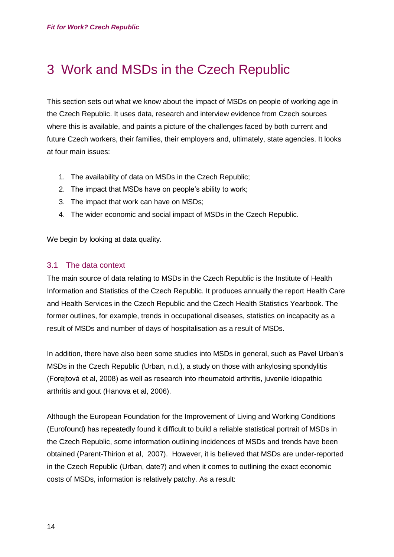# <span id="page-13-0"></span>3 Work and MSDs in the Czech Republic

This section sets out what we know about the impact of MSDs on people of working age in the Czech Republic. It uses data, research and interview evidence from Czech sources where this is available, and paints a picture of the challenges faced by both current and future Czech workers, their families, their employers and, ultimately, state agencies. It looks at four main issues:

- 1. The availability of data on MSDs in the Czech Republic;
- 2. The impact that MSDs have on people's ability to work;
- 3. The impact that work can have on MSDs;
- 4. The wider economic and social impact of MSDs in the Czech Republic.

We begin by looking at data quality.

#### <span id="page-13-1"></span>3.1 The data context

The main source of data relating to MSDs in the Czech Republic is the Institute of Health Information and Statistics of the Czech Republic. It produces annually the report Health Care and Health Services in the Czech Republic and the Czech Health Statistics Yearbook. The former outlines, for example, trends in occupational diseases, statistics on incapacity as a result of MSDs and number of days of hospitalisation as a result of MSDs.

In addition, there have also been some studies into MSDs in general, such as Pavel Urban's MSDs in the Czech Republic (Urban, n.d.), a study on those with ankylosing spondylitis (Forejtová et al, 2008) as well as research into rheumatoid arthritis, juvenile idiopathic arthritis and gout (Hanova et al, 2006).

Although the European Foundation for the Improvement of Living and Working Conditions (Eurofound) has repeatedly found it difficult to build a reliable statistical portrait of MSDs in the Czech Republic, some information outlining incidences of MSDs and trends have been obtained (Parent-Thirion et al, 2007). However, it is believed that MSDs are under-reported in the Czech Republic (Urban, date?) and when it comes to outlining the exact economic costs of MSDs, information is relatively patchy. As a result: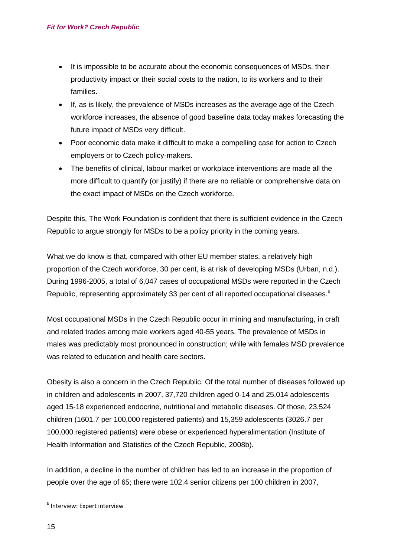- It is impossible to be accurate about the economic consequences of MSDs, their productivity impact or their social costs to the nation, to its workers and to their families.
- If, as is likely, the prevalence of MSDs increases as the average age of the Czech workforce increases, the absence of good baseline data today makes forecasting the future impact of MSDs very difficult.
- Poor economic data make it difficult to make a compelling case for action to Czech employers or to Czech policy-makers.
- The benefits of clinical, labour market or workplace interventions are made all the more difficult to quantify (or justify) if there are no reliable or comprehensive data on the exact impact of MSDs on the Czech workforce.

Despite this, The Work Foundation is confident that there is sufficient evidence in the Czech Republic to argue strongly for MSDs to be a policy priority in the coming years.

What we do know is that, compared with other EU member states, a relatively high proportion of the Czech workforce, 30 per cent, is at risk of developing MSDs (Urban, n.d.). During 1996-2005, a total of 6,047 cases of occupational MSDs were reported in the Czech Republic, representing approximately 33 per cent of all reported occupational diseases.<sup>b</sup>

Most occupational MSDs in the Czech Republic occur in mining and manufacturing, in craft and related trades among male workers aged 40-55 years. The prevalence of MSDs in males was predictably most pronounced in construction; while with females MSD prevalence was related to education and health care sectors.

Obesity is also a concern in the Czech Republic. Of the total number of diseases followed up in children and adolescents in 2007, 37,720 children aged 0-14 and 25,014 adolescents aged 15-18 experienced endocrine, nutritional and metabolic diseases. Of those, 23,524 children (1601.7 per 100,000 registered patients) and 15,359 adolescents (3026.7 per 100,000 registered patients) were obese or experienced hyperalimentation (Institute of Health Information and Statistics of the Czech Republic, 2008b).

In addition, a decline in the number of children has led to an increase in the proportion of people over the age of 65; there were 102.4 senior citizens per 100 children in 2007,

<sup>&</sup>lt;sup>b</sup> Interview: Expert interview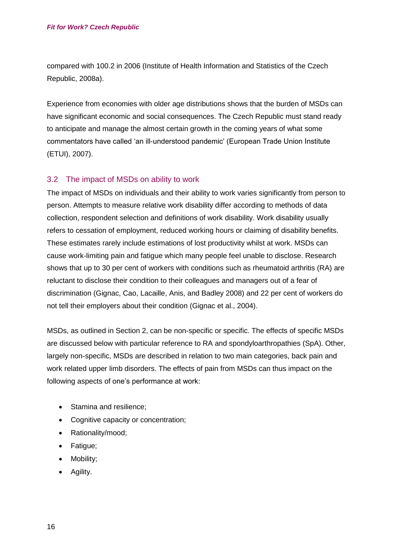compared with 100.2 in 2006 (Institute of Health Information and Statistics of the Czech Republic, 2008a).

Experience from economies with older age distributions shows that the burden of MSDs can have significant economic and social consequences. The Czech Republic must stand ready to anticipate and manage the almost certain growth in the coming years of what some commentators have called 'an ill-understood pandemic' (European Trade Union Institute (ETUI), 2007).

# <span id="page-15-0"></span>3.2 The impact of MSDs on ability to work

The impact of MSDs on individuals and their ability to work varies significantly from person to person. Attempts to measure relative work disability differ according to methods of data collection, respondent selection and definitions of work disability. Work disability usually refers to cessation of employment, reduced working hours or claiming of disability benefits. These estimates rarely include estimations of lost productivity whilst at work. MSDs can cause work-limiting pain and fatigue which many people feel unable to disclose. Research shows that up to 30 per cent of workers with conditions such as rheumatoid arthritis (RA) are reluctant to disclose their condition to their colleagues and managers out of a fear of discrimination (Gignac, Cao, Lacaille, Anis, and Badley 2008) and 22 per cent of workers do not tell their employers about their condition (Gignac et al., 2004).

MSDs, as outlined in Section 2, can be non-specific or specific. The effects of specific MSDs are discussed below with particular reference to RA and spondyloarthropathies (SpA). Other, largely non-specific, MSDs are described in relation to two main categories, back pain and work related upper limb disorders. The effects of pain from MSDs can thus impact on the following aspects of one's performance at work:

- Stamina and resilience;
- Cognitive capacity or concentration:
- Rationality/mood;
- Fatigue;
- Mobility;
- Agility.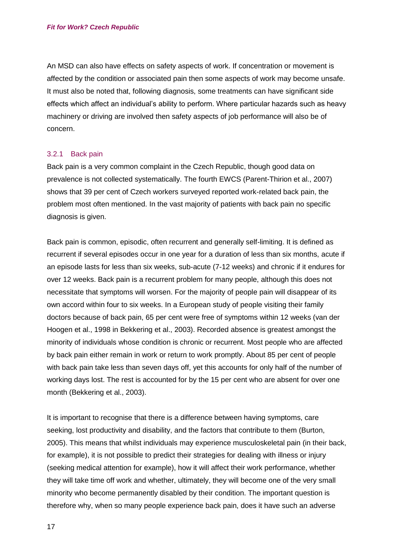An MSD can also have effects on safety aspects of work. If concentration or movement is affected by the condition or associated pain then some aspects of work may become unsafe. It must also be noted that, following diagnosis, some treatments can have significant side effects which affect an individual's ability to perform. Where particular hazards such as heavy machinery or driving are involved then safety aspects of job performance will also be of concern.

#### <span id="page-16-0"></span>3.2.1 Back pain

Back pain is a very common complaint in the Czech Republic, though good data on prevalence is not collected systematically. The fourth EWCS (Parent-Thirion et al., 2007) shows that 39 per cent of Czech workers surveyed reported work-related back pain, the problem most often mentioned. In the vast majority of patients with back pain no specific diagnosis is given.

Back pain is common, episodic, often recurrent and generally self-limiting. It is defined as recurrent if several episodes occur in one year for a duration of less than six months, acute if an episode lasts for less than six weeks, sub-acute (7-12 weeks) and chronic if it endures for over 12 weeks. Back pain is a recurrent problem for many people, although this does not necessitate that symptoms will worsen. For the majority of people pain will disappear of its own accord within four to six weeks. In a European study of people visiting their family doctors because of back pain, 65 per cent were free of symptoms within 12 weeks (van der Hoogen et al., 1998 in Bekkering et al., 2003). Recorded absence is greatest amongst the minority of individuals whose condition is chronic or recurrent. Most people who are affected by back pain either remain in work or return to work promptly. About 85 per cent of people with back pain take less than seven days off, yet this accounts for only half of the number of working days lost. The rest is accounted for by the 15 per cent who are absent for over one month (Bekkering et al., 2003).

It is important to recognise that there is a difference between having symptoms, care seeking, lost productivity and disability, and the factors that contribute to them (Burton, 2005). This means that whilst individuals may experience musculoskeletal pain (in their back, for example), it is not possible to predict their strategies for dealing with illness or injury (seeking medical attention for example), how it will affect their work performance, whether they will take time off work and whether, ultimately, they will become one of the very small minority who become permanently disabled by their condition. The important question is therefore why, when so many people experience back pain, does it have such an adverse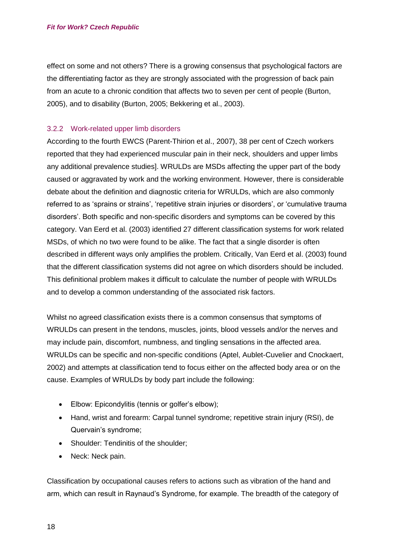effect on some and not others? There is a growing consensus that psychological factors are the differentiating factor as they are strongly associated with the progression of back pain from an acute to a chronic condition that affects two to seven per cent of people (Burton, 2005), and to disability (Burton, 2005; Bekkering et al., 2003).

#### <span id="page-17-0"></span>3.2.2 Work-related upper limb disorders

According to the fourth EWCS (Parent-Thirion et al., 2007), 38 per cent of Czech workers reported that they had experienced muscular pain in their neck, shoulders and upper limbs any additional prevalence studies]. WRULDs are MSDs affecting the upper part of the body caused or aggravated by work and the working environment. However, there is considerable debate about the definition and diagnostic criteria for WRULDs, which are also commonly referred to as 'sprains or strains', 'repetitive strain injuries or disorders', or 'cumulative trauma disorders'. Both specific and non-specific disorders and symptoms can be covered by this category. Van Eerd et al. (2003) identified 27 different classification systems for work related MSDs, of which no two were found to be alike. The fact that a single disorder is often described in different ways only amplifies the problem. Critically, Van Eerd et al. (2003) found that the different classification systems did not agree on which disorders should be included. This definitional problem makes it difficult to calculate the number of people with WRULDs and to develop a common understanding of the associated risk factors.

Whilst no agreed classification exists there is a common consensus that symptoms of WRULDs can present in the tendons, muscles, joints, blood vessels and/or the nerves and may include pain, discomfort, numbness, and tingling sensations in the affected area. WRULDs can be specific and non-specific conditions (Aptel, Aublet-Cuvelier and Cnockaert, 2002) and attempts at classification tend to focus either on the affected body area or on the cause. Examples of WRULDs by body part include the following:

- Elbow: Epicondylitis (tennis or golfer's elbow);
- Hand, wrist and forearm: Carpal tunnel syndrome; repetitive strain injury (RSI), de Quervain's syndrome;
- Shoulder: Tendinitis of the shoulder:
- Neck: Neck pain.

Classification by occupational causes refers to actions such as vibration of the hand and arm, which can result in Raynaud's Syndrome, for example. The breadth of the category of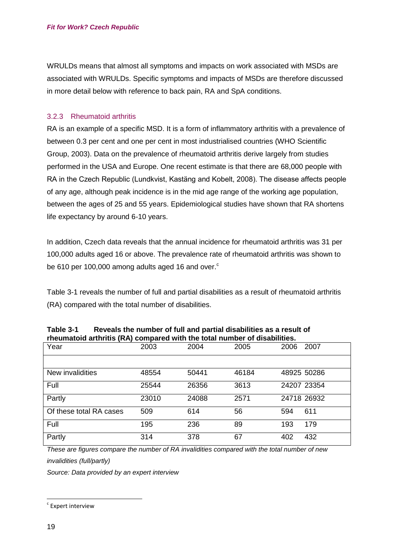WRULDs means that almost all symptoms and impacts on work associated with MSDs are associated with WRULDs. Specific symptoms and impacts of MSDs are therefore discussed in more detail below with reference to back pain, RA and SpA conditions.

#### <span id="page-18-0"></span>3.2.3 Rheumatoid arthritis

RA is an example of a specific MSD. It is a form of inflammatory arthritis with a prevalence of between 0.3 per cent and one per cent in most industrialised countries (WHO Scientific Group, 2003). Data on the prevalence of rheumatoid arthritis derive largely from studies performed in the USA and Europe. One recent estimate is that there are 68,000 people with RA in the Czech Republic (Lundkvist, Kastäng and Kobelt, 2008). The disease affects people of any age, although peak incidence is in the mid age range of the working age population, between the ages of 25 and 55 years. Epidemiological studies have shown that RA shortens life expectancy by around 6-10 years.

In addition, Czech data reveals that the annual incidence for rheumatoid arthritis was 31 per 100,000 adults aged 16 or above. The prevalence rate of rheumatoid arthritis was shown to be 610 per 100,000 among adults aged 16 and over. $\degree$ 

[Table 3-1](#page-18-1) reveals the number of full and partial disabilities as a result of rheumatoid arthritis (RA) compared with the total number of disabilities.

| $\overline{\phantom{a}}$ in the comparative compared with the total number of ursabilities. |       |       |       |      |             |
|---------------------------------------------------------------------------------------------|-------|-------|-------|------|-------------|
| Year                                                                                        | 2003  | 2004  | 2005  | 2006 | 2007        |
|                                                                                             |       |       |       |      |             |
| New invalidities                                                                            | 48554 | 50441 | 46184 |      | 48925 50286 |
| Full                                                                                        | 25544 | 26356 | 3613  |      | 24207 23354 |
| Partly                                                                                      | 23010 | 24088 | 2571  |      | 24718 26932 |
| Of these total RA cases                                                                     | 509   | 614   | 56    | 594  | 611         |
| Full                                                                                        | 195   | 236   | 89    | 193  | 179         |
| Partly                                                                                      | 314   | 378   | 67    | 402  | 432         |

<span id="page-18-1"></span>

| Table 3-1 | Reveals the number of full and partial disabilities as a result of        |
|-----------|---------------------------------------------------------------------------|
|           | rheumatoid arthritis (RA) compared with the total number of disabilities. |

*These are figures compare the number of RA invalidities compared with the total number of new* 

*invalidities (full/partly)*

*Source: Data provided by an expert interview*

 $\degree$  Expert interview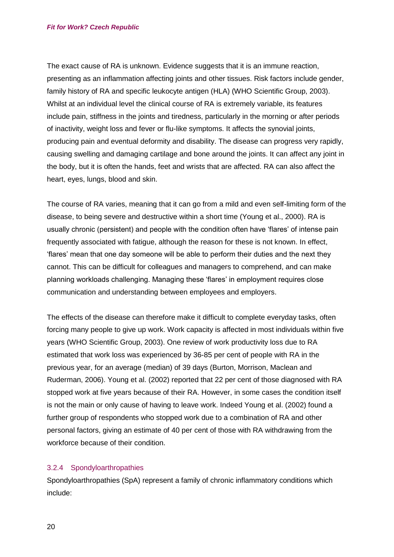The exact cause of RA is unknown. Evidence suggests that it is an immune reaction, presenting as an inflammation affecting joints and other tissues. Risk factors include gender, family history of RA and specific leukocyte antigen (HLA) (WHO Scientific Group, 2003). Whilst at an individual level the clinical course of RA is extremely variable, its features include pain, stiffness in the joints and tiredness, particularly in the morning or after periods of inactivity, weight loss and fever or flu-like symptoms. It affects the synovial joints, producing pain and eventual deformity and disability. The disease can progress very rapidly, causing swelling and damaging cartilage and bone around the joints. It can affect any joint in the body, but it is often the hands, feet and wrists that are affected. RA can also affect the heart, eyes, lungs, blood and skin.

The course of RA varies, meaning that it can go from a mild and even self-limiting form of the disease, to being severe and destructive within a short time (Young et al., 2000). RA is usually chronic (persistent) and people with the condition often have 'flares' of intense pain frequently associated with fatigue, although the reason for these is not known. In effect, 'flares' mean that one day someone will be able to perform their duties and the next they cannot. This can be difficult for colleagues and managers to comprehend, and can make planning workloads challenging. Managing these 'flares' in employment requires close communication and understanding between employees and employers.

The effects of the disease can therefore make it difficult to complete everyday tasks, often forcing many people to give up work. Work capacity is affected in most individuals within five years (WHO Scientific Group, 2003). One review of work productivity loss due to RA estimated that work loss was experienced by 36-85 per cent of people with RA in the previous year, for an average (median) of 39 days (Burton, Morrison, Maclean and Ruderman, 2006). Young et al. (2002) reported that 22 per cent of those diagnosed with RA stopped work at five years because of their RA. However, in some cases the condition itself is not the main or only cause of having to leave work. Indeed Young et al. (2002) found a further group of respondents who stopped work due to a combination of RA and other personal factors, giving an estimate of 40 per cent of those with RA withdrawing from the workforce because of their condition.

#### <span id="page-19-0"></span>3.2.4 Spondyloarthropathies

Spondyloarthropathies (SpA) represent a family of chronic inflammatory conditions which include: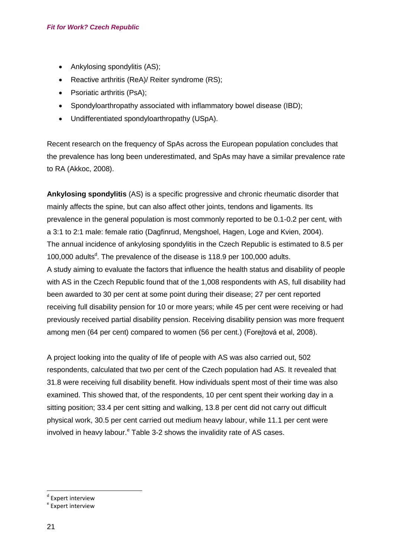- Ankylosing spondylitis (AS);
- Reactive arthritis (ReA)/ Reiter syndrome (RS);
- Psoriatic arthritis (PsA);
- Spondyloarthropathy associated with inflammatory bowel disease (IBD);
- Undifferentiated spondyloarthropathy (USpA).

Recent research on the frequency of SpAs across the European population concludes that the prevalence has long been underestimated, and SpAs may have a similar prevalence rate to RA (Akkoc, 2008).

**Ankylosing spondylitis** (AS) is a specific progressive and chronic rheumatic disorder that mainly affects the spine, but can also affect other joints, tendons and ligaments. Its prevalence in the general population is most commonly reported to be 0.1-0.2 per cent, with a 3:1 to 2:1 male: female ratio (Dagfinrud, Mengshoel, Hagen, Loge and Kvien, 2004). The annual incidence of ankylosing spondylitis in the Czech Republic is estimated to 8.5 per 100,000 adults<sup>d</sup>. The prevalence of the disease is 118.9 per 100,000 adults. A study aiming to evaluate the factors that influence the health status and disability of people with AS in the Czech Republic found that of the 1,008 respondents with AS, full disability had been awarded to 30 per cent at some point during their disease; 27 per cent reported receiving full disability pension for 10 or more years; while 45 per cent were receiving or had previously received partial disability pension. Receiving disability pension was more frequent among men (64 per cent) compared to women (56 per cent.) (Forejtová et al, 2008).

A project looking into the quality of life of people with AS was also carried out, 502 respondents, calculated that two per cent of the Czech population had AS. It revealed that 31.8 were receiving full disability benefit. How individuals spent most of their time was also examined. This showed that, of the respondents, 10 per cent spent their working day in a sitting position; 33.4 per cent sitting and walking, 13.8 per cent did not carry out difficult physical work, 30.5 per cent carried out medium heavy labour, while 11.1 per cent were involved in heavy labour. $e^e$  [Table 3-2](#page-21-0) shows the invalidity rate of AS cases.

<sup>d</sup> Expert interview

<sup>&</sup>lt;sup>e</sup> Expert interview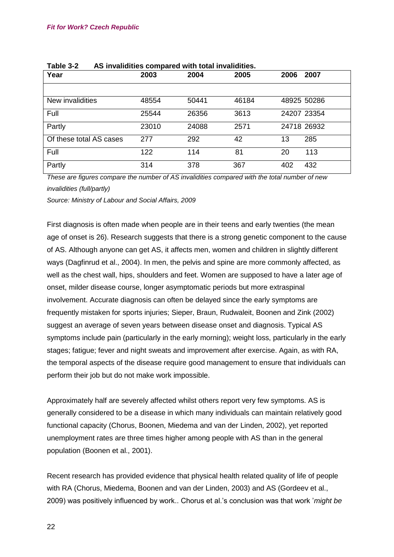| Year                    | 2003  | 2004  | 2005  | 2006<br>2007 |
|-------------------------|-------|-------|-------|--------------|
|                         |       |       |       |              |
| New invalidities        | 48554 | 50441 | 46184 | 48925 50286  |
| Full                    | 25544 | 26356 | 3613  | 24207 23354  |
| Partly                  | 23010 | 24088 | 2571  | 24718 26932  |
| Of these total AS cases | 277   | 292   | 42    | 13<br>285    |
| Full                    | 122   | 114   | 81    | 20<br>113    |
| Partly                  | 314   | 378   | 367   | 432<br>402   |

<span id="page-21-0"></span>

| Table 3-2 |  | AS invalidities compared with total invalidities. |
|-----------|--|---------------------------------------------------|
|-----------|--|---------------------------------------------------|

*These are figures compare the number of AS invalidities compared with the total number of new invalidities (full/partly)*

*Source: Ministry of Labour and Social Affairs, 2009*

First diagnosis is often made when people are in their teens and early twenties (the mean age of onset is 26). Research suggests that there is a strong genetic component to the cause of AS. Although anyone can get AS, it affects men, women and children in slightly different ways (Dagfinrud et al., 2004). In men, the pelvis and spine are more commonly affected, as well as the chest wall, hips, shoulders and feet. Women are supposed to have a later age of onset, milder disease course, longer asymptomatic periods but more extraspinal involvement. Accurate diagnosis can often be delayed since the early symptoms are frequently mistaken for sports injuries; Sieper, Braun, Rudwaleit, Boonen and Zink (2002) suggest an average of seven years between disease onset and diagnosis. Typical AS symptoms include pain (particularly in the early morning); weight loss, particularly in the early stages; fatigue; fever and night sweats and improvement after exercise. Again, as with RA, the temporal aspects of the disease require good management to ensure that individuals can perform their job but do not make work impossible.

Approximately half are severely affected whilst others report very few symptoms. AS is generally considered to be a disease in which many individuals can maintain relatively good functional capacity (Chorus, Boonen, Miedema and van der Linden, 2002), yet reported unemployment rates are three times higher among people with AS than in the general population (Boonen et al., 2001).

Recent research has provided evidence that physical health related quality of life of people with RA (Chorus, Miedema, Boonen and van der Linden, 2003) and AS (Gordeev et al., 2009) was positively influenced by work.. Chorus et al.'s conclusion was that work '*might be*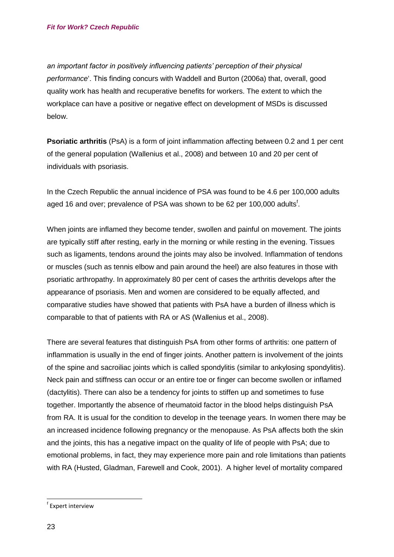*an important factor in positively influencing patients' perception of their physical performance*'. This finding concurs with Waddell and Burton (2006a) that, overall, good quality work has health and recuperative benefits for workers. The extent to which the workplace can have a positive or negative effect on development of MSDs is discussed below.

**Psoriatic arthritis** (PsA) is a form of joint inflammation affecting between 0.2 and 1 per cent of the general population (Wallenius et al., 2008) and between 10 and 20 per cent of individuals with psoriasis.

In the Czech Republic the annual incidence of PSA was found to be 4.6 per 100,000 adults aged 16 and over; prevalence of PSA was shown to be 62 per 100,000 adults<sup>f</sup>.

When joints are inflamed they become tender, swollen and painful on movement. The joints are typically stiff after resting, early in the morning or while resting in the evening. Tissues such as ligaments, tendons around the joints may also be involved. Inflammation of tendons or muscles (such as tennis elbow and pain around the heel) are also features in those with psoriatic arthropathy. In approximately 80 per cent of cases the arthritis develops after the appearance of psoriasis. Men and women are considered to be equally affected, and comparative studies have showed that patients with PsA have a burden of illness which is comparable to that of patients with RA or AS (Wallenius et al., 2008).

There are several features that distinguish PsA from other forms of arthritis: one pattern of inflammation is usually in the end of finger joints. Another pattern is involvement of the joints of the spine and sacroiliac joints which is called spondylitis (similar to ankylosing spondylitis). Neck pain and stiffness can occur or an entire toe or finger can become swollen or inflamed (dactylitis). There can also be a tendency for joints to stiffen up and sometimes to fuse together. Importantly the absence of rheumatoid factor in the blood helps distinguish PsA from RA. It is usual for the condition to develop in the teenage years. In women there may be an increased incidence following pregnancy or the menopause. As PsA affects both the skin and the joints, this has a negative impact on the quality of life of people with PsA; due to emotional problems, in fact, they may experience more pain and role limitations than patients with RA (Husted, Gladman, Farewell and Cook, 2001). A higher level of mortality compared

f Expert interview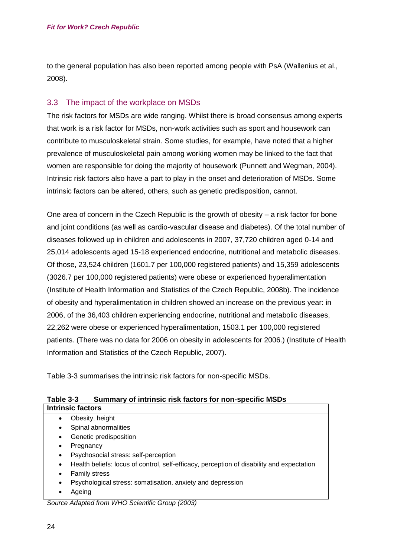to the general population has also been reported among people with PsA (Wallenius et al., 2008).

## <span id="page-23-0"></span>3.3 The impact of the workplace on MSDs

The risk factors for MSDs are wide ranging. Whilst there is broad consensus among experts that work is a risk factor for MSDs, non-work activities such as sport and housework can contribute to musculoskeletal strain. Some studies, for example, have noted that a higher prevalence of musculoskeletal pain among working women may be linked to the fact that women are responsible for doing the majority of housework (Punnett and Wegman, 2004). Intrinsic risk factors also have a part to play in the onset and deterioration of MSDs. Some intrinsic factors can be altered, others, such as genetic predisposition, cannot.

One area of concern in the Czech Republic is the growth of obesity – a risk factor for bone and joint conditions (as well as cardio-vascular disease and diabetes). Of the total number of diseases followed up in children and adolescents in 2007, 37,720 children aged 0-14 and 25,014 adolescents aged 15-18 experienced endocrine, nutritional and metabolic diseases. Of those, 23,524 children (1601.7 per 100,000 registered patients) and 15,359 adolescents (3026.7 per 100,000 registered patients) were obese or experienced hyperalimentation (Institute of Health Information and Statistics of the Czech Republic, 2008b). The incidence of obesity and hyperalimentation in children showed an increase on the previous year: in 2006, of the 36,403 children experiencing endocrine, nutritional and metabolic diseases, 22,262 were obese or experienced hyperalimentation, 1503.1 per 100,000 registered patients. (There was no data for 2006 on obesity in adolescents for 2006.) (Institute of Health Information and Statistics of the Czech Republic, 2007).

[Table 3-3](#page-23-1) summarises the intrinsic risk factors for non-specific MSDs.

<span id="page-23-1"></span>

| Table 3-3 | Summary of intrinsic risk factors for non-specific MSDs |
|-----------|---------------------------------------------------------|
|           |                                                         |

| <b>Intrinsic factors</b>                        |                                                                                           |  |
|-------------------------------------------------|-------------------------------------------------------------------------------------------|--|
| ٠                                               | Obesity, height                                                                           |  |
| ٠                                               | Spinal abnormalities                                                                      |  |
| ٠                                               | Genetic predisposition                                                                    |  |
| ٠                                               | Pregnancy                                                                                 |  |
| ٠                                               | Psychosocial stress: self-perception                                                      |  |
| ٠                                               | Health beliefs: locus of control, self-efficacy, perception of disability and expectation |  |
| ٠                                               | <b>Family stress</b>                                                                      |  |
| ٠                                               | Psychological stress: somatisation, anxiety and depression                                |  |
| ٠                                               | Ageing                                                                                    |  |
| Source Adapted from WHO Scientific Group (2003) |                                                                                           |  |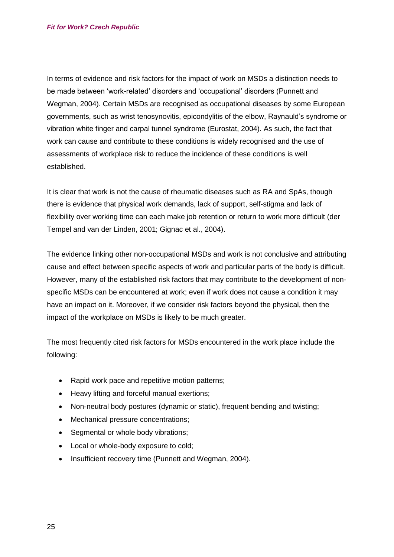In terms of evidence and risk factors for the impact of work on MSDs a distinction needs to be made between 'work-related' disorders and 'occupational' disorders (Punnett and Wegman, 2004). Certain MSDs are recognised as occupational diseases by some European governments, such as wrist tenosynovitis, epicondylitis of the elbow, Raynauld's syndrome or vibration white finger and carpal tunnel syndrome (Eurostat, 2004). As such, the fact that work can cause and contribute to these conditions is widely recognised and the use of assessments of workplace risk to reduce the incidence of these conditions is well established.

It is clear that work is not the cause of rheumatic diseases such as RA and SpAs, though there is evidence that physical work demands, lack of support, self-stigma and lack of flexibility over working time can each make job retention or return to work more difficult (der Tempel and van der Linden, 2001; Gignac et al., 2004).

The evidence linking other non-occupational MSDs and work is not conclusive and attributing cause and effect between specific aspects of work and particular parts of the body is difficult. However, many of the established risk factors that may contribute to the development of nonspecific MSDs can be encountered at work; even if work does not cause a condition it may have an impact on it. Moreover, if we consider risk factors beyond the physical, then the impact of the workplace on MSDs is likely to be much greater.

The most frequently cited risk factors for MSDs encountered in the work place include the following:

- Rapid work pace and repetitive motion patterns;
- Heavy lifting and forceful manual exertions;
- Non-neutral body postures (dynamic or static), frequent bending and twisting;
- Mechanical pressure concentrations;
- Segmental or whole body vibrations:
- Local or whole-body exposure to cold:
- Insufficient recovery time (Punnett and Wegman, 2004).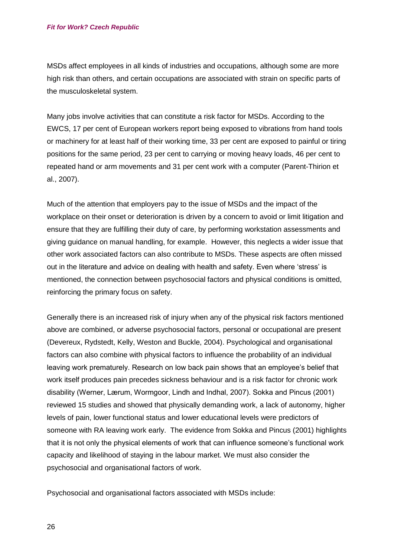MSDs affect employees in all kinds of industries and occupations, although some are more high risk than others, and certain occupations are associated with strain on specific parts of the musculoskeletal system.

Many jobs involve activities that can constitute a risk factor for MSDs. According to the EWCS, 17 per cent of European workers report being exposed to vibrations from hand tools or machinery for at least half of their working time, 33 per cent are exposed to painful or tiring positions for the same period, 23 per cent to carrying or moving heavy loads, 46 per cent to repeated hand or arm movements and 31 per cent work with a computer (Parent-Thirion et al., 2007).

Much of the attention that employers pay to the issue of MSDs and the impact of the workplace on their onset or deterioration is driven by a concern to avoid or limit litigation and ensure that they are fulfilling their duty of care, by performing workstation assessments and giving guidance on manual handling, for example. However, this neglects a wider issue that other work associated factors can also contribute to MSDs. These aspects are often missed out in the literature and advice on dealing with health and safety. Even where 'stress' is mentioned, the connection between psychosocial factors and physical conditions is omitted, reinforcing the primary focus on safety.

Generally there is an increased risk of injury when any of the physical risk factors mentioned above are combined, or adverse psychosocial factors, personal or occupational are present (Devereux, Rydstedt, Kelly, Weston and Buckle, 2004). Psychological and organisational factors can also combine with physical factors to influence the probability of an individual leaving work prematurely. Research on low back pain shows that an employee's belief that work itself produces pain precedes sickness behaviour and is a risk factor for chronic work disability (Werner, Lærum, Wormgoor, Lindh and Indhal, 2007). Sokka and Pincus (2001) reviewed 15 studies and showed that physically demanding work, a lack of autonomy, higher levels of pain, lower functional status and lower educational levels were predictors of someone with RA leaving work early. The evidence from Sokka and Pincus (2001) highlights that it is not only the physical elements of work that can influence someone's functional work capacity and likelihood of staying in the labour market. We must also consider the psychosocial and organisational factors of work.

Psychosocial and organisational factors associated with MSDs include: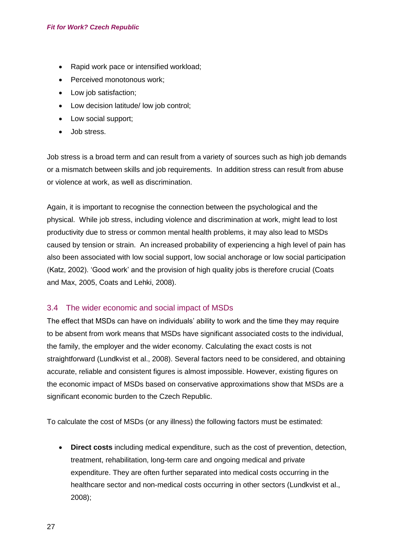- Rapid work pace or intensified workload;
- Perceived monotonous work:
- Low job satisfaction;
- Low decision latitude/ low job control;
- Low social support;
- Job stress.

Job stress is a broad term and can result from a variety of sources such as high job demands or a mismatch between skills and job requirements. In addition stress can result from abuse or violence at work, as well as discrimination.

Again, it is important to recognise the connection between the psychological and the physical. While job stress, including violence and discrimination at work, might lead to lost productivity due to stress or common mental health problems, it may also lead to MSDs caused by tension or strain. An increased probability of experiencing a high level of pain has also been associated with low social support, low social anchorage or low social participation (Katz, 2002). 'Good work' and the provision of high quality jobs is therefore crucial (Coats and Max, 2005, Coats and Lehki, 2008).

### <span id="page-26-0"></span>3.4 The wider economic and social impact of MSDs

The effect that MSDs can have on individuals' ability to work and the time they may require to be absent from work means that MSDs have significant associated costs to the individual, the family, the employer and the wider economy. Calculating the exact costs is not straightforward (Lundkvist et al., 2008). Several factors need to be considered, and obtaining accurate, reliable and consistent figures is almost impossible. However, existing figures on the economic impact of MSDs based on conservative approximations show that MSDs are a significant economic burden to the Czech Republic.

To calculate the cost of MSDs (or any illness) the following factors must be estimated:

 **Direct costs** including medical expenditure, such as the cost of prevention, detection, treatment, rehabilitation, long-term care and ongoing medical and private expenditure. They are often further separated into medical costs occurring in the healthcare sector and non-medical costs occurring in other sectors (Lundkvist et al., 2008);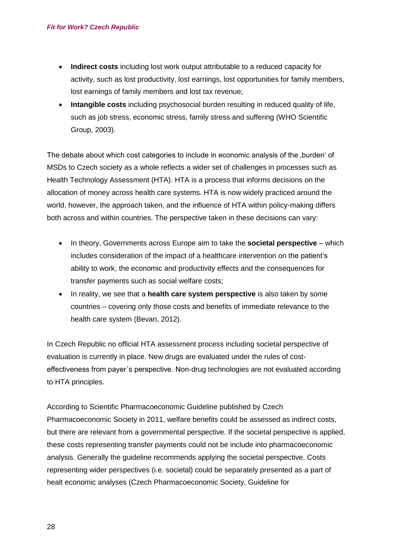- **Indirect costs** including lost work output attributable to a reduced capacity for activity, such as lost productivity, lost earnings, lost opportunities for family members, lost earnings of family members and lost tax revenue;
- **Intangible costs** including psychosocial burden resulting in reduced quality of life, such as job stress, economic stress, family stress and suffering (WHO Scientific Group, 2003).

The debate about which cost categories to include in economic analysis of the , burden' of MSDs to Czech society as a whole reflects a wider set of challenges in processes such as Health Technology Assessment (HTA). HTA is a process that informs decisions on the allocation of money across health care systems. HTA is now widely practiced around the world, however, the approach taken, and the influence of HTA within policy-making differs both across and within countries. The perspective taken in these decisions can vary:

- In theory, Governments across Europe aim to take the **societal perspective**  which includes consideration of the impact of a healthcare intervention on the patient's ability to work, the economic and productivity effects and the consequences for transfer payments such as social welfare costs;
- In reality, we see that a **health care system perspective** is also taken by some countries – covering only those costs and benefits of immediate relevance to the health care system (Bevan, 2012).

In Czech Republic no official HTA assessment process including societal perspective of evaluation is currently in place. New drugs are evaluated under the rules of costeffectiveness from payer´s perspective. Non-drug technologies are not evaluated according to HTA principles.

According to Scientific Pharmacoeconomic Guideline published by Czech Pharmacoeconomic Society in 2011, welfare benefits could be assessed as indirect costs, but there are relevant from a governmental perspective. If the societal perspective is applied, these costs representing transfer payments could not be include into pharmacoeconomic analysis. Generally the guideline recommends applying the societal perspective. Costs representing wider perspectives (i.e. societal) could be separately presented as a part of healt economic analyses (Czech Pharmacoeconomic Society, Guideline for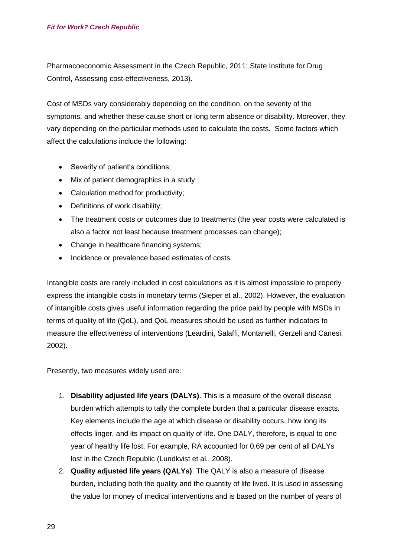Pharmacoeconomic Assessment in the Czech Republic, 2011; State Institute for Drug Control, Assessing cost-effectiveness, 2013).

Cost of MSDs vary considerably depending on the condition, on the severity of the symptoms, and whether these cause short or long term absence or disability. Moreover, they vary depending on the particular methods used to calculate the costs. Some factors which affect the calculations include the following:

- Severity of patient's conditions;
- Mix of patient demographics in a study ;
- Calculation method for productivity:
- Definitions of work disability;
- The treatment costs or outcomes due to treatments (the year costs were calculated is also a factor not least because treatment processes can change);
- Change in healthcare financing systems;
- Incidence or prevalence based estimates of costs.

Intangible costs are rarely included in cost calculations as it is almost impossible to properly express the intangible costs in monetary terms (Sieper et al., 2002). However, the evaluation of intangible costs gives useful information regarding the price paid by people with MSDs in terms of quality of life (QoL), and QoL measures should be used as further indicators to measure the effectiveness of interventions (Leardini, Salaffi, Montanelli, Gerzeli and Canesi, 2002).

Presently, two measures widely used are:

- 1. **Disability adjusted life years (DALYs)**. This is a measure of the overall disease burden which attempts to tally the complete burden that a particular disease exacts. Key elements include the age at which disease or disability occurs, how long its effects linger, and its impact on quality of life. One DALY, therefore, is equal to one year of healthy life lost. For example, RA accounted for 0.69 per cent of all DALYs lost in the Czech Republic (Lundkvist et al., 2008).
- 2. **Quality adjusted life years (QALYs)**. The QALY is also a measure of disease burden, including both the quality and the quantity of life lived. It is used in assessing the value for money of medical interventions and is based on the number of years of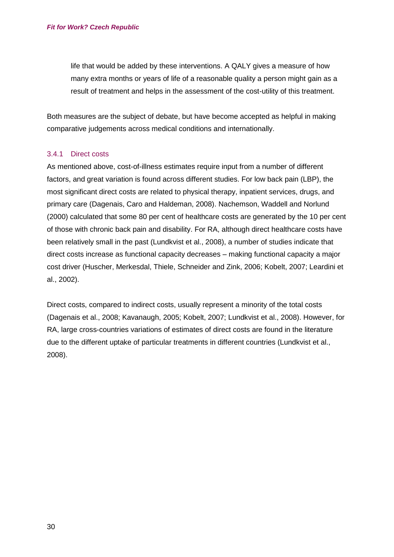life that would be added by these interventions. A QALY gives a measure of how many extra months or years of life of a reasonable quality a person might gain as a result of treatment and helps in the assessment of the cost-utility of this treatment.

Both measures are the subject of debate, but have become accepted as helpful in making comparative judgements across medical conditions and internationally.

#### <span id="page-29-0"></span>3.4.1 Direct costs

As mentioned above, cost-of-illness estimates require input from a number of different factors, and great variation is found across different studies. For low back pain (LBP), the most significant direct costs are related to physical therapy, inpatient services, drugs, and primary care (Dagenais, Caro and Haldeman, 2008). Nachemson, Waddell and Norlund (2000) calculated that some 80 per cent of healthcare costs are generated by the 10 per cent of those with chronic back pain and disability. For RA, although direct healthcare costs have been relatively small in the past (Lundkvist et al., 2008), a number of studies indicate that direct costs increase as functional capacity decreases – making functional capacity a major cost driver (Huscher, Merkesdal, Thiele, Schneider and Zink, 2006; Kobelt, 2007; Leardini et al., 2002).

Direct costs, compared to indirect costs, usually represent a minority of the total costs (Dagenais et al., 2008; Kavanaugh, 2005; Kobelt, 2007; Lundkvist et al., 2008). However, for RA, large cross-countries variations of estimates of direct costs are found in the literature due to the different uptake of particular treatments in different countries (Lundkvist et al., 2008).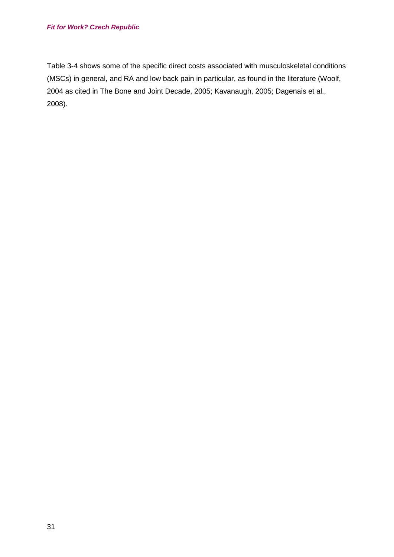#### *Fit for Work? Czech Republic*

<span id="page-30-0"></span>[Table 3-4](#page-30-0) shows some of the specific direct costs associated with musculoskeletal conditions (MSCs) in general, and RA and low back pain in particular, as found in the literature (Woolf, 2004 as cited in The Bone and Joint Decade, 2005; Kavanaugh, 2005; Dagenais et al., 2008).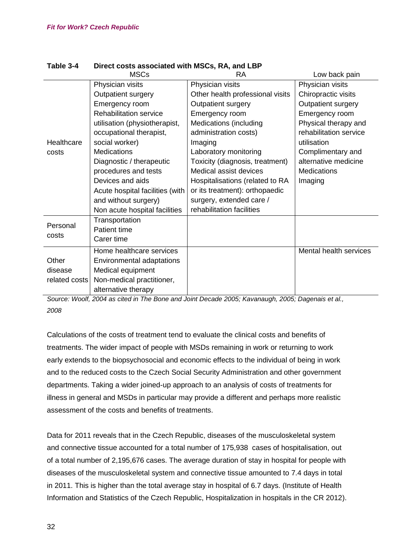|               | <b>MSCs</b>                     | <b>RA</b>                        | Low back pain          |
|---------------|---------------------------------|----------------------------------|------------------------|
|               | Physician visits                | Physician visits                 | Physician visits       |
|               | Outpatient surgery              | Other health professional visits | Chiropractic visits    |
|               | Emergency room                  | Outpatient surgery               | Outpatient surgery     |
|               | <b>Rehabilitation service</b>   | Emergency room                   | Emergency room         |
|               | utilisation (physiotherapist,   | <b>Medications (including</b>    | Physical therapy and   |
|               | occupational therapist,         | administration costs)            | rehabilitation service |
| Healthcare    | social worker)                  | Imaging                          | utilisation            |
| costs         | <b>Medications</b>              | Laboratory monitoring            | Complimentary and      |
|               | Diagnostic / therapeutic        | Toxicity (diagnosis, treatment)  | alternative medicine   |
|               | procedures and tests            | Medical assist devices           | <b>Medications</b>     |
|               | Devices and aids                | Hospitalisations (related to RA  | Imaging                |
|               | Acute hospital facilities (with | or its treatment): orthopaedic   |                        |
|               | and without surgery)            | surgery, extended care /         |                        |
|               | Non acute hospital facilities   | rehabilitation facilities        |                        |
|               | Transportation                  |                                  |                        |
| Personal      | <b>Patient time</b>             |                                  |                        |
| costs         | Carer time                      |                                  |                        |
|               | Home healthcare services        |                                  | Mental health services |
| Other         | Environmental adaptations       |                                  |                        |
| disease       | Medical equipment               |                                  |                        |
| related costs | Non-medical practitioner,       |                                  |                        |
|               | alternative therapy             |                                  |                        |

# **Table 3-4 Direct costs associated with MSCs, RA, and LBP**

*Source: Woolf, 2004 as cited in The Bone and Joint Decade 2005; Kavanaugh, 2005; Dagenais et al., 2008*

Calculations of the costs of treatment tend to evaluate the clinical costs and benefits of treatments. The wider impact of people with MSDs remaining in work or returning to work early extends to the biopsychosocial and economic effects to the individual of being in work and to the reduced costs to the Czech Social Security Administration and other government departments. Taking a wider joined-up approach to an analysis of costs of treatments for illness in general and MSDs in particular may provide a different and perhaps more realistic assessment of the costs and benefits of treatments.

Data for 2011 reveals that in the Czech Republic, diseases of the musculoskeletal system and connective tissue accounted for a total number of 175,938 cases of hospitalisation, out of a total number of 2,195,676 cases. The average duration of stay in hospital for people with diseases of the musculoskeletal system and connective tissue amounted to 7.4 days in total in 2011. This is higher than the total average stay in hospital of 6.7 days. (Institute of Health Information and Statistics of the Czech Republic, Hospitalization in hospitals in the CR 2012).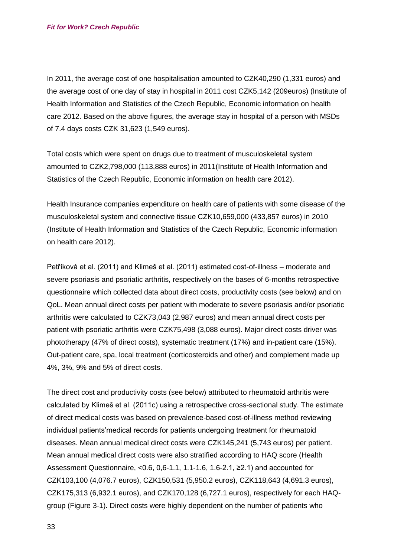In 2011, the average cost of one hospitalisation amounted to CZK40,290 (1,331 euros) and the average cost of one day of stay in hospital in 2011 cost CZK5,142 (209euros) (Institute of Health Information and Statistics of the Czech Republic, Economic information on health care 2012. Based on the above figures, the average stay in hospital of a person with MSDs of 7.4 days costs CZK 31,623 (1,549 euros).

Total costs which were spent on drugs due to treatment of musculoskeletal system amounted to CZK2,798,000 (113,888 euros) in 2011(Institute of Health Information and Statistics of the Czech Republic, Economic information on health care 2012).

Health Insurance companies expenditure on health care of patients with some disease of the musculoskeletal system and connective tissue CZK10,659,000 (433,857 euros) in 2010 (Institute of Health Information and Statistics of the Czech Republic, Economic information on health care 2012).

Petříková et al. (2011) and Klimeš et al. (2011) estimated cost-of-illness – moderate and severe psoriasis and psoriatic arthritis, respectively on the bases of 6-months retrospective questionnaire which collected data about direct costs, productivity costs (see below) and on QoL. Mean annual direct costs per patient with moderate to severe psoriasis and/or psoriatic arthritis were calculated to CZK73,043 (2,987 euros) and mean annual direct costs per patient with psoriatic arthritis were CZK75,498 (3,088 euros). Major direct costs driver was phototherapy (47% of direct costs), systematic treatment (17%) and in-patient care (15%). Out-patient care, spa, local treatment (corticosteroids and other) and complement made up 4%, 3%, 9% and 5% of direct costs.

The direct cost and productivity costs (see below) attributed to rheumatoid arthritis were calculated by Klimeš et al. (2011c) using a retrospective cross-sectional study. The estimate of direct medical costs was based on prevalence-based cost-of-illness method reviewing individual patients'medical records for patients undergoing treatment for rheumatoid diseases. Mean annual medical direct costs were CZK145,241 (5,743 euros) per patient. Mean annual medical direct costs were also stratified according to HAQ score (Health Assessment Questionnaire, <0.6, 0.6-1.1, 1.1-1.6, 1.6-2.1,  $\geq$ 2.1) and accounted for CZK103,100 (4,076.7 euros), CZK150,531 (5,950.2 euros), CZK118,643 (4,691.3 euros), CZK175,313 (6,932.1 euros), and CZK170,128 (6,727.1 euros), respectively for each HAQgroup (Figure 3-1). Direct costs were highly dependent on the number of patients who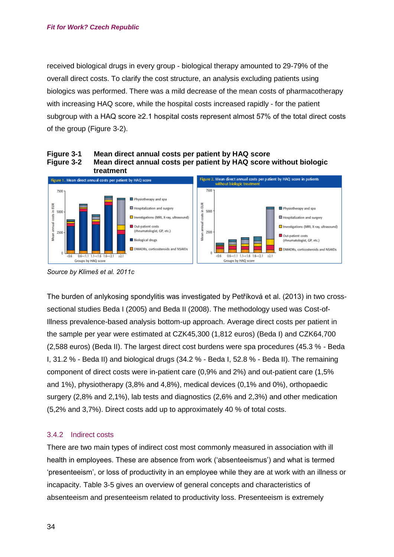received biological drugs in every group - biological therapy amounted to 29-79% of the overall direct costs. To clarify the cost structure, an analysis excluding patients using biologics was performed. There was a mild decrease of the mean costs of pharmacotherapy with increasing HAQ score, while the hospital costs increased rapidly - for the patient subgroup with a HAQ score ≥2.1 hospital costs represent almost 57% of the total direct costs of the group (Figure 3-2).







The burden of anlykosing spondylitis was investigated by Petříková et al. (2013) in two crosssectional studies Beda I (2005) and Beda II (2008). The methodology used was Cost-of-Illness prevalence-based analysis bottom-up approach. Average direct costs per patient in the sample per year were estimated at CZK45,300 (1,812 euros) (Beda I) and CZK64,700 (2,588 euros) (Beda II). The largest direct cost burdens were spa procedures (45.3 % - Beda I, 31.2 % - Beda II) and biological drugs (34.2 % - Beda I, 52.8 % - Beda II). The remaining component of direct costs were in-patient care (0,9% and 2%) and out-patient care (1,5% and 1%), physiotherapy (3,8% and 4,8%), medical devices (0,1% and 0%), orthopaedic surgery (2,8% and 2,1%), lab tests and diagnostics (2,6% and 2,3%) and other medication (5,2% and 3,7%). Direct costs add up to approximately 40 % of total costs.

#### <span id="page-33-0"></span>3.4.2 Indirect costs

There are two main types of indirect cost most commonly measured in association with ill health in employees. These are absence from work ('absenteeismus') and what is termed 'presenteeism', or loss of productivity in an employee while they are at work with an illness or incapacity. [Table 3-5](#page-34-0) gives an overview of general concepts and characteristics of absenteeism and presenteeism related to productivity loss. Presenteeism is extremely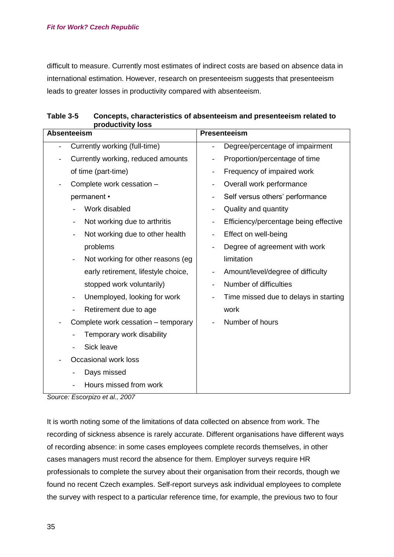#### *Fit for Work? Czech Republic*

difficult to measure. Currently most estimates of indirect costs are based on absence data in international estimation. However, research on presenteeism suggests that presenteeism leads to greater losses in productivity compared with absenteeism.

| ,,,,,,,,,<br><b>Absenteeism</b>                               | Presenteeism                                              |
|---------------------------------------------------------------|-----------------------------------------------------------|
| Currently working (full-time)                                 | Degree/percentage of impairment                           |
| Currently working, reduced amounts                            | Proportion/percentage of time<br>$\overline{\phantom{0}}$ |
| of time (part-time)                                           | Frequency of impaired work<br>-                           |
| Complete work cessation -                                     | Overall work performance                                  |
| permanent •                                                   | Self versus others' performance                           |
| Work disabled                                                 | Quality and quantity<br>$\overline{\phantom{0}}$          |
| Not working due to arthritis<br>$\overline{\phantom{a}}$      | Efficiency/percentage being effective                     |
| Not working due to other health<br>$\overline{\phantom{a}}$   | Effect on well-being                                      |
| problems                                                      | Degree of agreement with work                             |
| Not working for other reasons (eg<br>$\overline{\phantom{a}}$ | limitation                                                |
| early retirement, lifestyle choice,                           | Amount/level/degree of difficulty                         |
| stopped work voluntarily)                                     | Number of difficulties                                    |
| Unemployed, looking for work<br>$\overline{\phantom{a}}$      | Time missed due to delays in starting                     |
| Retirement due to age                                         | work                                                      |
| Complete work cessation - temporary                           | Number of hours                                           |
| Temporary work disability                                     |                                                           |
| Sick leave                                                    |                                                           |
| Occasional work loss                                          |                                                           |
| Days missed                                                   |                                                           |
| Hours missed from work                                        |                                                           |

<span id="page-34-0"></span>

| Table 3-5 | Concepts, characteristics of absenteeism and presenteeism related to |  |
|-----------|----------------------------------------------------------------------|--|
|           | productivity loss                                                    |  |

*Source: Escorpizo et al., 2007*

It is worth noting some of the limitations of data collected on absence from work. The recording of sickness absence is rarely accurate. Different organisations have different ways of recording absence: in some cases employees complete records themselves, in other cases managers must record the absence for them. Employer surveys require HR professionals to complete the survey about their organisation from their records, though we found no recent Czech examples. Self-report surveys ask individual employees to complete the survey with respect to a particular reference time, for example, the previous two to four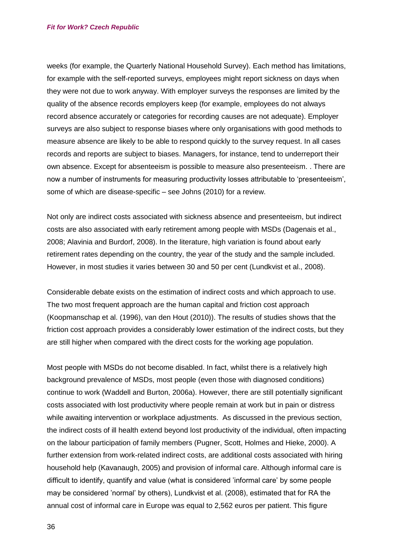weeks (for example, the Quarterly National Household Survey). Each method has limitations, for example with the self-reported surveys, employees might report sickness on days when they were not due to work anyway. With employer surveys the responses are limited by the quality of the absence records employers keep (for example, employees do not always record absence accurately or categories for recording causes are not adequate). Employer surveys are also subject to response biases where only organisations with good methods to measure absence are likely to be able to respond quickly to the survey request. In all cases records and reports are subject to biases. Managers, for instance, tend to underreport their own absence. Except for absenteeism is possible to measure also presenteeism. . There are now a number of instruments for measuring productivity losses attributable to 'presenteeism', some of which are disease-specific – see Johns (2010) for a review.

Not only are indirect costs associated with sickness absence and presenteeism, but indirect costs are also associated with early retirement among people with MSDs (Dagenais et al., 2008; Alavinia and Burdorf, 2008). In the literature, high variation is found about early retirement rates depending on the country, the year of the study and the sample included. However, in most studies it varies between 30 and 50 per cent (Lundkvist et al., 2008).

Considerable debate exists on the estimation of indirect costs and which approach to use. The two most frequent approach are the human capital and friction cost approach (Koopmanschap et al. (1996), van den Hout (2010)). The results of studies shows that the friction cost approach provides a considerably lower estimation of the indirect costs, but they are still higher when compared with the direct costs for the working age population.

Most people with MSDs do not become disabled. In fact, whilst there is a relatively high background prevalence of MSDs, most people (even those with diagnosed conditions) continue to work (Waddell and Burton, 2006a). However, there are still potentially significant costs associated with lost productivity where people remain at work but in pain or distress while awaiting intervention or workplace adjustments. As discussed in the previous section, the indirect costs of ill health extend beyond lost productivity of the individual, often impacting on the labour participation of family members (Pugner, Scott, Holmes and Hieke, 2000). A further extension from work-related indirect costs, are additional costs associated with hiring household help (Kavanaugh, 2005) and provision of informal care. Although informal care is difficult to identify, quantify and value (what is considered 'informal care' by some people may be considered 'normal' by others), Lundkvist et al. (2008), estimated that for RA the annual cost of informal care in Europe was equal to 2,562 euros per patient. This figure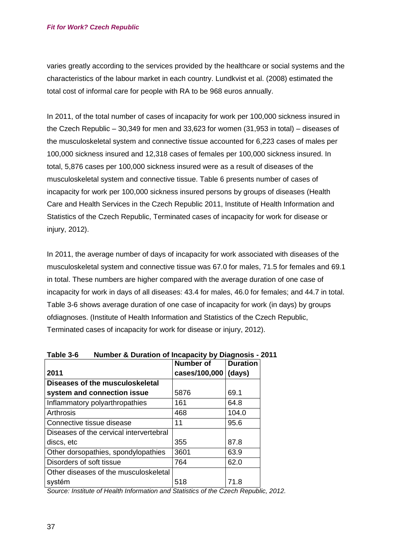varies greatly according to the services provided by the healthcare or social systems and the characteristics of the labour market in each country. Lundkvist et al. (2008) estimated the total cost of informal care for people with RA to be 968 euros annually.

In 2011, of the total number of cases of incapacity for work per 100,000 sickness insured in the Czech Republic – 30,349 for men and 33,623 for women (31,953 in total) – diseases of the musculoskeletal system and connective tissue accounted for 6,223 cases of males per 100,000 sickness insured and 12,318 cases of females per 100,000 sickness insured. In total, 5,876 cases per 100,000 sickness insured were as a result of diseases of the musculoskeletal system and connective tissue. Table 6 presents number of cases of incapacity for work per 100,000 sickness insured persons by groups of diseases (Health Care and Health Services in the Czech Republic 2011, Institute of Health Information and Statistics of the Czech Republic, Terminated cases of incapacity for work for disease or injury, 2012).

In 2011, the average number of days of incapacity for work associated with diseases of the musculoskeletal system and connective tissue was 67.0 for males, 71.5 for females and 69.1 in total. These numbers are higher compared with the average duration of one case of incapacity for work in days of all diseases: 43.4 for males, 46.0 for females; and 44.7 in total. [Table 3-6](#page-36-0) shows average duration of one case of incapacity for work (in days) by groups ofdiagnoses. (Institute of Health Information and Statistics of the Czech Republic, Terminated cases of incapacity for work for disease or injury, 2012).

|                                         | Number of     | <b>Duration</b> |
|-----------------------------------------|---------------|-----------------|
| 2011                                    | cases/100,000 | (days)          |
| Diseases of the musculoskeletal         |               |                 |
| system and connection issue             | 5876          | 69.1            |
| Inflammatory polyarthropathies          | 161           | 64.8            |
| Arthrosis                               | 468           | 104.0           |
| Connective tissue disease               | 11            | 95.6            |
| Diseases of the cervical intervertebral |               |                 |
| discs, etc                              | 355           | 87.8            |
| Other dorsopathies, spondylopathies     | 3601          | 63.9            |
| Disorders of soft tissue                | 764           | 62.0            |
| Other diseases of the musculoskeletal   |               |                 |
| systém                                  | 518           | 71.8            |

<span id="page-36-0"></span>**Table 3-6 Number & Duration of Incapacity by Diagnosis - 2011**

*Source: Institute of Health Information and Statistics of the Czech Republic, 2012.*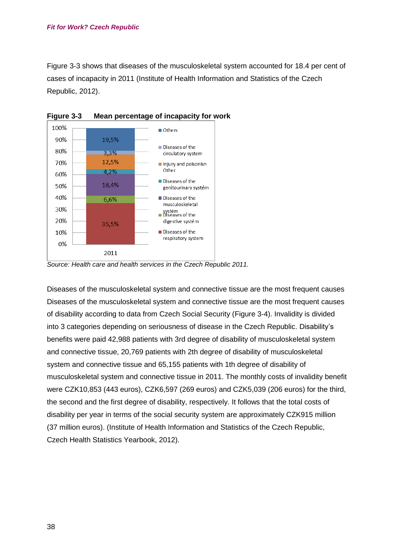Figure 3-3 shows that diseases of the musculoskeletal system accounted for 18.4 per cent of cases of incapacity in 2011 (Institute of Health Information and Statistics of the Czech Republic, 2012).



**Figure 3-3 Mean percentage of incapacity for work**

*Source: Health care and health services in the Czech Republic 2011.*

Diseases of the musculoskeletal system and connective tissue are the most frequent causes Diseases of the musculoskeletal system and connective tissue are the most frequent causes of disability according to data from Czech Social Security (Figure 3-4). Invalidity is divided into 3 categories depending on seriousness of disease in the Czech Republic. Disability's benefits were paid 42,988 patients with 3rd degree of disability of musculoskeletal system and connective tissue, 20,769 patients with 2th degree of disability of musculoskeletal system and connective tissue and 65,155 patients with 1th degree of disability of musculoskeletal system and connective tissue in 2011. The monthly costs of invalidity benefit were CZK10,853 (443 euros), CZK6,597 (269 euros) and CZK5,039 (206 euros) for the third, the second and the first degree of disability, respectively. It follows that the total costs of disability per year in terms of the social security system are approximately CZK915 million (37 million euros). (Institute of Health Information and Statistics of the Czech Republic, Czech Health Statistics Yearbook, 2012).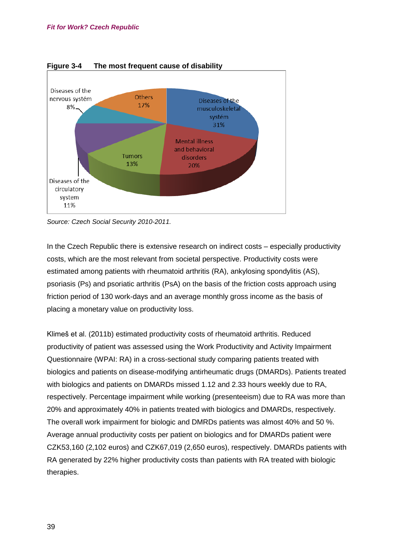

**Figure 3-4 The most frequent cause of disability**

In the Czech Republic there is extensive research on indirect costs – especially productivity costs, which are the most relevant from societal perspective. Productivity costs were estimated among patients with rheumatoid arthritis (RA), ankylosing spondylitis (AS), psoriasis (Ps) and psoriatic arthritis (PsA) on the basis of the friction costs approach using friction period of 130 work-days and an average monthly gross income as the basis of placing a monetary value on productivity loss.

Klimeš et al. (2011b) estimated productivity costs of rheumatoid arthritis. Reduced productivity of patient was assessed using the Work Productivity and Activity Impairment Questionnaire (WPAI: RA) in a cross-sectional study comparing patients treated with biologics and patients on disease-modifying antirheumatic drugs (DMARDs). Patients treated with biologics and patients on DMARDs missed 1.12 and 2.33 hours weekly due to RA, respectively. Percentage impairment while working (presenteeism) due to RA was more than 20% and approximately 40% in patients treated with biologics and DMARDs, respectively. The overall work impairment for biologic and DMRDs patients was almost 40% and 50 %. Average annual productivity costs per patient on biologics and for DMARDs patient were CZK53,160 (2,102 euros) and CZK67,019 (2,650 euros), respectively. DMARDs patients with RA generated by 22% higher productivity costs than patients with RA treated with biologic therapies.

*Source: Czech Social Security 2010-2011.*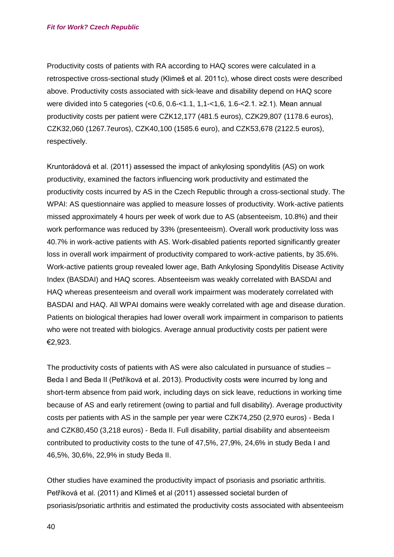Productivity costs of patients with RA according to HAQ scores were calculated in a retrospective cross-sectional study (Klimeš et al. 2011c), whose direct costs were described above. Productivity costs associated with sick-leave and disability depend on HAQ score were divided into 5 categories (<0.6, 0.6-<1.1, 1,1-<1,6, 1.6-<2.1. ≥2.1). Mean annual productivity costs per patient were CZK12,177 (481.5 euros), CZK29,807 (1178.6 euros), CZK32,060 (1267.7euros), CZK40,100 (1585.6 euro), and CZK53,678 (2122.5 euros), respectively.

Kruntorádová et al. (2011) assessed the impact of ankylosing spondylitis (AS) on work productivity, examined the factors influencing work productivity and estimated the productivity costs incurred by AS in the Czech Republic through a cross-sectional study. The WPAI: AS questionnaire was applied to measure losses of productivity. Work-active patients missed approximately 4 hours per week of work due to AS (absenteeism, 10.8%) and their work performance was reduced by 33% (presenteeism). Overall work productivity loss was 40.7% in work-active patients with AS. Work-disabled patients reported significantly greater loss in overall work impairment of productivity compared to work-active patients, by 35.6%. Work-active patients group revealed lower age, Bath Ankylosing Spondylitis Disease Activity Index (BASDAI) and HAQ scores. Absenteeism was weakly correlated with BASDAI and HAQ whereas presenteeism and overall work impairment was moderately correlated with BASDAI and HAQ. All WPAI domains were weakly correlated with age and disease duration. Patients on biological therapies had lower overall work impairment in comparison to patients who were not treated with biologics. Average annual productivity costs per patient were €2,923.

The productivity costs of patients with AS were also calculated in pursuance of studies – Beda I and Beda II (Petříková et al. 2013). Productivity costs were incurred by long and short-term absence from paid work, including days on sick leave, reductions in working time because of AS and early retirement (owing to partial and full disability). Average productivity costs per patients with AS in the sample per year were CZK74,250 (2,970 euros) - Beda I and CZK80,450 (3,218 euros) - Beda II. Full disability, partial disability and absenteeism contributed to productivity costs to the tune of 47,5%, 27,9%, 24,6% in study Beda I and 46,5%, 30,6%, 22,9% in study Beda II.

Other studies have examined the productivity impact of psoriasis and psoriatic arthritis. Petříková et al. (2011) and Klimeš et al (2011) assessed societal burden of psoriasis/psoriatic arthritis and estimated the productivity costs associated with absenteeism

40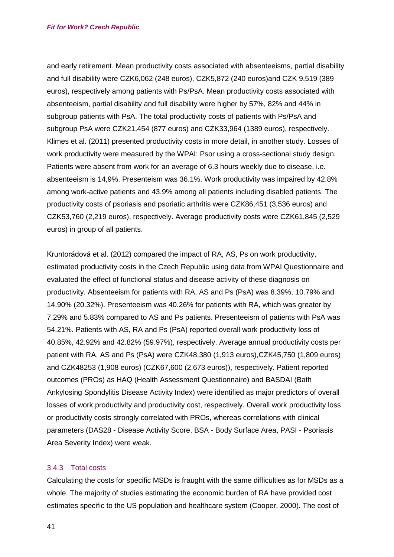and early retirement. Mean productivity costs associated with absenteeisms, partial disability and full disability were CZK6,062 (248 euros), CZK5,872 (240 euros)and CZK 9,519 (389 euros), respectively among patients with Ps/PsA. Mean productivity costs associated with absenteeism, partial disability and full disability were higher by 57%, 82% and 44% in subgroup patients with PsA. The total productivity costs of patients with Ps/PsA and subgroup PsA were CZK21,454 (877 euros) and CZK33,964 (1389 euros), respectively. Klimes et al. (2011) presented productivity costs in more detail, in another study. Losses of work productivity were measured by the WPAI: Psor using a cross-sectional study design. Patients were absent from work for an average of 6.3 hours weekly due to disease, i.e. absenteeism is 14,9%. Presenteism was 36.1%. Work productivity was impaired by 42.8% among work-active patients and 43.9% among all patients including disabled patients. The productivity costs of psoriasis and psoriatic arthritis were CZK86,451 (3,536 euros) and CZK53,760 (2,219 euros), respectively. Average productivity costs were CZK61,845 (2,529 euros) in group of all patients.

Kruntorádová et al. (2012) compared the impact of RA, AS, Ps on work productivity, estimated productivity costs in the Czech Republic using data from WPAI Questionnaire and evaluated the effect of functional status and disease activity of these diagnosis on productivity. Absenteeism for patients with RA, AS and Ps (PsA) was 8.39%, 10.79% and 14.90% (20.32%). Presenteeism was 40.26% for patients with RA, which was greater by 7.29% and 5.83% compared to AS and Ps patients. Presenteeism of patients with PsA was 54.21%. Patients with AS, RA and Ps (PsA) reported overall work productivity loss of 40.85%, 42.92% and 42.82% (59.97%), respectively. Average annual productivity costs per patient with RA, AS and Ps (PsA) were CZK48,380 (1,913 euros),CZK45,750 (1,809 euros) and CZK48253 (1,908 euros) (CZK67,600 (2,673 euros)), respectively. Patient reported outcomes (PROs) as HAQ (Health Assessment Questionnaire) and BASDAI (Bath Ankylosing Spondylitis Disease Activity Index) were identified as major predictors of overall losses of work productivity and productivity cost, respectively. Overall work productivity loss or productivity costs strongly correlated with PROs, whereas correlations with clinical parameters (DAS28 - Disease Activity Score, BSA - Body Surface Area, PASI - Psoriasis Area Severity Index) were weak.

#### 3.4.3 Total costs

Calculating the costs for specific MSDs is fraught with the same difficulties as for MSDs as a whole. The majority of studies estimating the economic burden of RA have provided cost estimates specific to the US population and healthcare system (Cooper, 2000). The cost of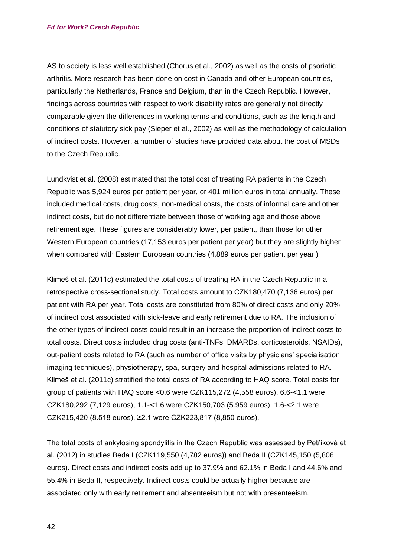AS to society is less well established (Chorus et al., 2002) as well as the costs of psoriatic arthritis. More research has been done on cost in Canada and other European countries, particularly the Netherlands, France and Belgium, than in the Czech Republic. However, findings across countries with respect to work disability rates are generally not directly comparable given the differences in working terms and conditions, such as the length and conditions of statutory sick pay (Sieper et al., 2002) as well as the methodology of calculation of indirect costs. However, a number of studies have provided data about the cost of MSDs to the Czech Republic.

Lundkvist et al. (2008) estimated that the total cost of treating RA patients in the Czech Republic was 5,924 euros per patient per year, or 401 million euros in total annually. These included medical costs, drug costs, non-medical costs, the costs of informal care and other indirect costs, but do not differentiate between those of working age and those above retirement age. These figures are considerably lower, per patient, than those for other Western European countries (17,153 euros per patient per year) but they are slightly higher when compared with Eastern European countries (4,889 euros per patient per year.)

Klimeš et al. (2011c) estimated the total costs of treating RA in the Czech Republic in a retrospective cross-sectional study. Total costs amount to CZK180,470 (7,136 euros) per patient with RA per year. Total costs are constituted from 80% of direct costs and only 20% of indirect cost associated with sick-leave and early retirement due to RA. The inclusion of the other types of indirect costs could result in an increase the proportion of indirect costs to total costs. Direct costs included drug costs (anti-TNFs, DMARDs, corticosteroids, NSAIDs), out-patient costs related to RA (such as number of office visits by physicians' specialisation, imaging techniques), physiotherapy, spa, surgery and hospital admissions related to RA. Klimeš et al. (2011c) stratified the total costs of RA according to HAQ score. Total costs for group of patients with HAQ score <0.6 were CZK115,272 (4,558 euros), 6.6-<1.1 were CZK180,292 (7,129 euros), 1.1-<1.6 were CZK150,703 (5.959 euros), 1.6-<2.1 were CZK215,420 (8.518 euros), ≥2.1 were CZK223,817 (8,850 euros).

The total costs of ankylosing spondylitis in the Czech Republic was assessed by Petříková et al. (2012) in studies Beda I (CZK119,550 (4,782 euros)) and Beda II (CZK145,150 (5,806 euros). Direct costs and indirect costs add up to 37.9% and 62.1% in Beda I and 44.6% and 55.4% in Beda II, respectively. Indirect costs could be actually higher because are associated only with early retirement and absenteeism but not with presenteeism.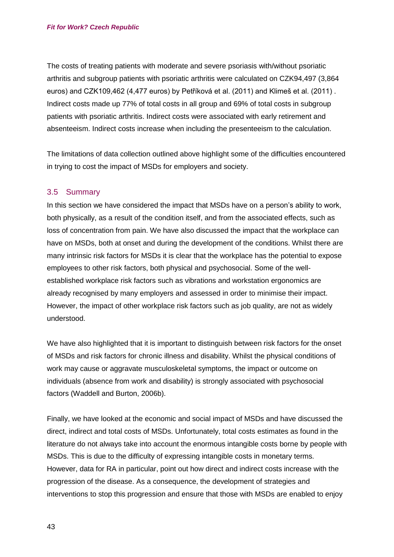The costs of treating patients with moderate and severe psoriasis with/without psoriatic arthritis and subgroup patients with psoriatic arthritis were calculated on CZK94,497 (3,864 euros) and CZK109,462 (4,477 euros) by Petříková et al. (2011) and Klimeš et al. (2011) . Indirect costs made up 77% of total costs in all group and 69% of total costs in subgroup patients with psoriatic arthritis. Indirect costs were associated with early retirement and absenteeism. Indirect costs increase when including the presenteeism to the calculation.

The limitations of data collection outlined above highlight some of the difficulties encountered in trying to cost the impact of MSDs for employers and society.

## 3.5 Summary

In this section we have considered the impact that MSDs have on a person's ability to work, both physically, as a result of the condition itself, and from the associated effects, such as loss of concentration from pain. We have also discussed the impact that the workplace can have on MSDs, both at onset and during the development of the conditions. Whilst there are many intrinsic risk factors for MSDs it is clear that the workplace has the potential to expose employees to other risk factors, both physical and psychosocial. Some of the wellestablished workplace risk factors such as vibrations and workstation ergonomics are already recognised by many employers and assessed in order to minimise their impact. However, the impact of other workplace risk factors such as job quality, are not as widely understood.

We have also highlighted that it is important to distinguish between risk factors for the onset of MSDs and risk factors for chronic illness and disability. Whilst the physical conditions of work may cause or aggravate musculoskeletal symptoms, the impact or outcome on individuals (absence from work and disability) is strongly associated with psychosocial factors (Waddell and Burton, 2006b).

Finally, we have looked at the economic and social impact of MSDs and have discussed the direct, indirect and total costs of MSDs. Unfortunately, total costs estimates as found in the literature do not always take into account the enormous intangible costs borne by people with MSDs. This is due to the difficulty of expressing intangible costs in monetary terms. However, data for RA in particular, point out how direct and indirect costs increase with the progression of the disease. As a consequence, the development of strategies and interventions to stop this progression and ensure that those with MSDs are enabled to enjoy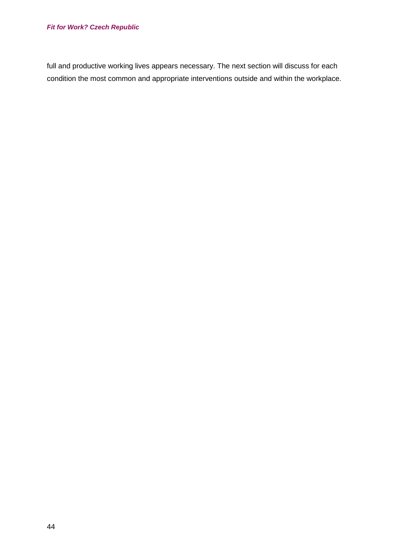full and productive working lives appears necessary. The next section will discuss for each condition the most common and appropriate interventions outside and within the workplace.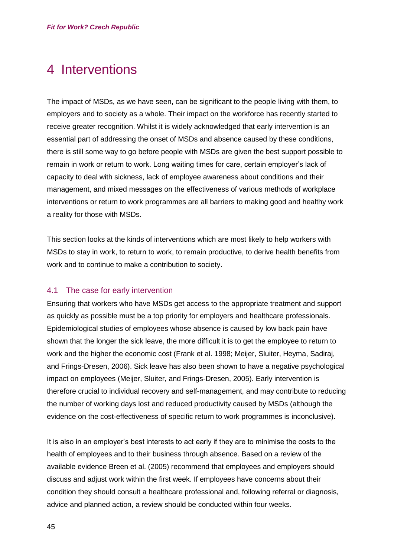# 4 Interventions

The impact of MSDs, as we have seen, can be significant to the people living with them, to employers and to society as a whole. Their impact on the workforce has recently started to receive greater recognition. Whilst it is widely acknowledged that early intervention is an essential part of addressing the onset of MSDs and absence caused by these conditions, there is still some way to go before people with MSDs are given the best support possible to remain in work or return to work. Long waiting times for care, certain employer's lack of capacity to deal with sickness, lack of employee awareness about conditions and their management, and mixed messages on the effectiveness of various methods of workplace interventions or return to work programmes are all barriers to making good and healthy work a reality for those with MSDs.

This section looks at the kinds of interventions which are most likely to help workers with MSDs to stay in work, to return to work, to remain productive, to derive health benefits from work and to continue to make a contribution to society.

## 4.1 The case for early intervention

Ensuring that workers who have MSDs get access to the appropriate treatment and support as quickly as possible must be a top priority for employers and healthcare professionals. Epidemiological studies of employees whose absence is caused by low back pain have shown that the longer the sick leave, the more difficult it is to get the employee to return to work and the higher the economic cost (Frank et al. 1998; Meijer, Sluiter, Heyma, Sadiraj, and Frings-Dresen, 2006). Sick leave has also been shown to have a negative psychological impact on employees (Meijer, Sluiter, and Frings-Dresen, 2005). Early intervention is therefore crucial to individual recovery and self-management, and may contribute to reducing the number of working days lost and reduced productivity caused by MSDs (although the evidence on the cost-effectiveness of specific return to work programmes is inconclusive).

It is also in an employer's best interests to act early if they are to minimise the costs to the health of employees and to their business through absence. Based on a review of the available evidence Breen et al. (2005) recommend that employees and employers should discuss and adjust work within the first week. If employees have concerns about their condition they should consult a healthcare professional and, following referral or diagnosis, advice and planned action, a review should be conducted within four weeks.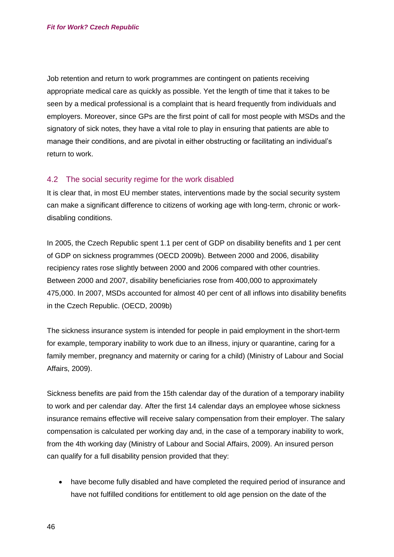Job retention and return to work programmes are contingent on patients receiving appropriate medical care as quickly as possible. Yet the length of time that it takes to be seen by a medical professional is a complaint that is heard frequently from individuals and employers. Moreover, since GPs are the first point of call for most people with MSDs and the signatory of sick notes, they have a vital role to play in ensuring that patients are able to manage their conditions, and are pivotal in either obstructing or facilitating an individual's return to work.

## 4.2 The social security regime for the work disabled

It is clear that, in most EU member states, interventions made by the social security system can make a significant difference to citizens of working age with long-term, chronic or workdisabling conditions.

In 2005, the Czech Republic spent 1.1 per cent of GDP on disability benefits and 1 per cent of GDP on sickness programmes (OECD 2009b). Between 2000 and 2006, disability recipiency rates rose slightly between 2000 and 2006 compared with other countries. Between 2000 and 2007, disability beneficiaries rose from 400,000 to approximately 475,000. In 2007, MSDs accounted for almost 40 per cent of all inflows into disability benefits in the Czech Republic. (OECD, 2009b)

The sickness insurance system is intended for people in paid employment in the short-term for example, temporary inability to work due to an illness, injury or quarantine, caring for a family member, pregnancy and maternity or caring for a child) (Ministry of Labour and Social Affairs, 2009).

Sickness benefits are paid from the 15th calendar day of the duration of a temporary inability to work and per calendar day. After the first 14 calendar days an employee whose sickness insurance remains effective will receive salary compensation from their employer. The salary compensation is calculated per working day and, in the case of a temporary inability to work, from the 4th working day (Ministry of Labour and Social Affairs, 2009). An insured person can qualify for a full disability pension provided that they:

• have become fully disabled and have completed the required period of insurance and have not fulfilled conditions for entitlement to old age pension on the date of the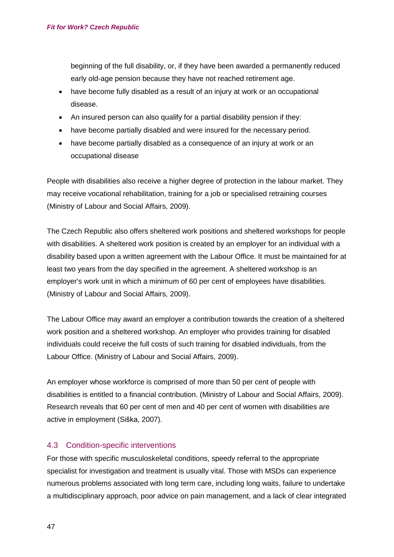beginning of the full disability, or, if they have been awarded a permanently reduced early old-age pension because they have not reached retirement age.

- have become fully disabled as a result of an injury at work or an occupational disease.
- An insured person can also qualify for a partial disability pension if they:
- have become partially disabled and were insured for the necessary period.
- have become partially disabled as a consequence of an injury at work or an occupational disease

People with disabilities also receive a higher degree of protection in the labour market. They may receive vocational rehabilitation, training for a job or specialised retraining courses (Ministry of Labour and Social Affairs, 2009).

The Czech Republic also offers sheltered work positions and sheltered workshops for people with disabilities. A sheltered work position is created by an employer for an individual with a disability based upon a written agreement with the Labour Office. It must be maintained for at least two years from the day specified in the agreement. A sheltered workshop is an employer's work unit in which a minimum of 60 per cent of employees have disabilities. (Ministry of Labour and Social Affairs, 2009).

The Labour Office may award an employer a contribution towards the creation of a sheltered work position and a sheltered workshop. An employer who provides training for disabled individuals could receive the full costs of such training for disabled individuals, from the Labour Office. (Ministry of Labour and Social Affairs, 2009).

An employer whose workforce is comprised of more than 50 per cent of people with disabilities is entitled to a financial contribution. (Ministry of Labour and Social Affairs, 2009). Research reveals that 60 per cent of men and 40 per cent of women with disabilities are active in employment (Siška, 2007).

## 4.3 Condition-specific interventions

For those with specific musculoskeletal conditions, speedy referral to the appropriate specialist for investigation and treatment is usually vital. Those with MSDs can experience numerous problems associated with long term care, including long waits, failure to undertake a multidisciplinary approach, poor advice on pain management, and a lack of clear integrated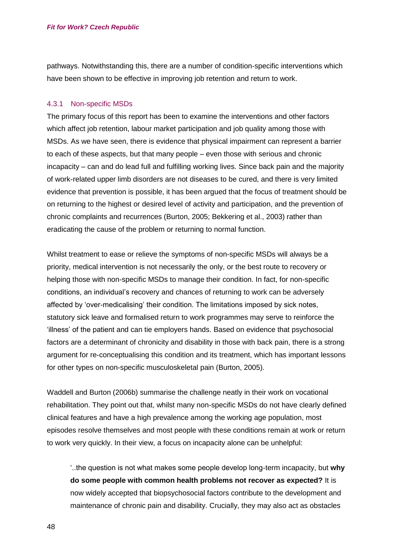pathways. Notwithstanding this, there are a number of condition-specific interventions which have been shown to be effective in improving job retention and return to work.

#### 4.3.1 Non-specific MSDs

The primary focus of this report has been to examine the interventions and other factors which affect job retention, labour market participation and job quality among those with MSDs. As we have seen, there is evidence that physical impairment can represent a barrier to each of these aspects, but that many people – even those with serious and chronic incapacity – can and do lead full and fulfilling working lives. Since back pain and the majority of work-related upper limb disorders are not diseases to be cured, and there is very limited evidence that prevention is possible, it has been argued that the focus of treatment should be on returning to the highest or desired level of activity and participation, and the prevention of chronic complaints and recurrences (Burton, 2005; Bekkering et al., 2003) rather than eradicating the cause of the problem or returning to normal function.

Whilst treatment to ease or relieve the symptoms of non-specific MSDs will always be a priority, medical intervention is not necessarily the only, or the best route to recovery or helping those with non-specific MSDs to manage their condition. In fact, for non-specific conditions, an individual's recovery and chances of returning to work can be adversely affected by 'over-medicalising' their condition. The limitations imposed by sick notes, statutory sick leave and formalised return to work programmes may serve to reinforce the 'illness' of the patient and can tie employers hands. Based on evidence that psychosocial factors are a determinant of chronicity and disability in those with back pain, there is a strong argument for re-conceptualising this condition and its treatment, which has important lessons for other types on non-specific musculoskeletal pain (Burton, 2005).

Waddell and Burton (2006b) summarise the challenge neatly in their work on vocational rehabilitation. They point out that, whilst many non-specific MSDs do not have clearly defined clinical features and have a high prevalence among the working age population, most episodes resolve themselves and most people with these conditions remain at work or return to work very quickly. In their view, a focus on incapacity alone can be unhelpful:

'..the question is not what makes some people develop long-term incapacity, but **why do some people with common health problems not recover as expected?** It is now widely accepted that biopsychosocial factors contribute to the development and maintenance of chronic pain and disability. Crucially, they may also act as obstacles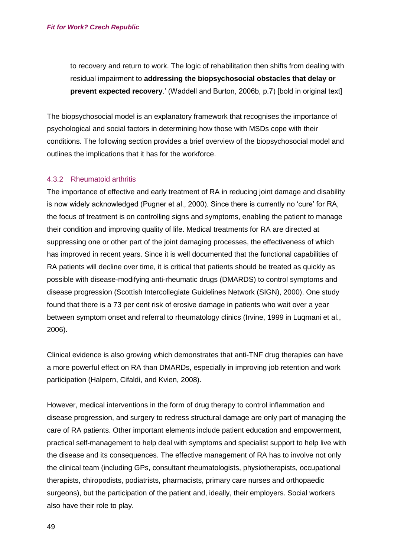to recovery and return to work. The logic of rehabilitation then shifts from dealing with residual impairment to **addressing the biopsychosocial obstacles that delay or prevent expected recovery**.' (Waddell and Burton, 2006b, p.7) [bold in original text]

The biopsychosocial model is an explanatory framework that recognises the importance of psychological and social factors in determining how those with MSDs cope with their conditions. The following section provides a brief overview of the biopsychosocial model and outlines the implications that it has for the workforce.

#### 4.3.2 Rheumatoid arthritis

The importance of effective and early treatment of RA in reducing joint damage and disability is now widely acknowledged (Pugner et al., 2000). Since there is currently no 'cure' for RA, the focus of treatment is on controlling signs and symptoms, enabling the patient to manage their condition and improving quality of life. Medical treatments for RA are directed at suppressing one or other part of the joint damaging processes, the effectiveness of which has improved in recent years. Since it is well documented that the functional capabilities of RA patients will decline over time, it is critical that patients should be treated as quickly as possible with disease-modifying anti-rheumatic drugs (DMARDS) to control symptoms and disease progression (Scottish Intercollegiate Guidelines Network (SIGN), 2000). One study found that there is a 73 per cent risk of erosive damage in patients who wait over a year between symptom onset and referral to rheumatology clinics (Irvine, 1999 in Luqmani et al., 2006).

Clinical evidence is also growing which demonstrates that anti-TNF drug therapies can have a more powerful effect on RA than DMARDs, especially in improving job retention and work participation (Halpern, Cifaldi, and Kvien, 2008).

However, medical interventions in the form of drug therapy to control inflammation and disease progression, and surgery to redress structural damage are only part of managing the care of RA patients. Other important elements include patient education and empowerment, practical self-management to help deal with symptoms and specialist support to help live with the disease and its consequences. The effective management of RA has to involve not only the clinical team (including GPs, consultant rheumatologists, physiotherapists, occupational therapists, chiropodists, podiatrists, pharmacists, primary care nurses and orthopaedic surgeons), but the participation of the patient and, ideally, their employers. Social workers also have their role to play.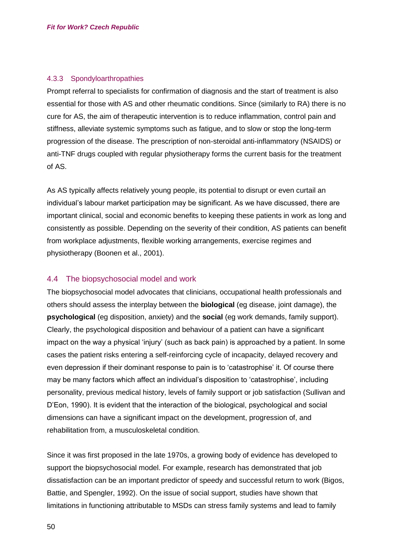#### 4.3.3 Spondyloarthropathies

Prompt referral to specialists for confirmation of diagnosis and the start of treatment is also essential for those with AS and other rheumatic conditions. Since (similarly to RA) there is no cure for AS, the aim of therapeutic intervention is to reduce inflammation, control pain and stiffness, alleviate systemic symptoms such as fatigue, and to slow or stop the long-term progression of the disease. The prescription of non-steroidal anti-inflammatory (NSAIDS) or anti-TNF drugs coupled with regular physiotherapy forms the current basis for the treatment of AS.

As AS typically affects relatively young people, its potential to disrupt or even curtail an individual's labour market participation may be significant. As we have discussed, there are important clinical, social and economic benefits to keeping these patients in work as long and consistently as possible. Depending on the severity of their condition, AS patients can benefit from workplace adjustments, flexible working arrangements, exercise regimes and physiotherapy (Boonen et al., 2001).

## 4.4 The biopsychosocial model and work

The biopsychosocial model advocates that clinicians, occupational health professionals and others should assess the interplay between the **biological** (eg disease, joint damage), the **psychological** (eg disposition, anxiety) and the **social** (eg work demands, family support). Clearly, the psychological disposition and behaviour of a patient can have a significant impact on the way a physical 'injury' (such as back pain) is approached by a patient. In some cases the patient risks entering a self-reinforcing cycle of incapacity, delayed recovery and even depression if their dominant response to pain is to 'catastrophise' it. Of course there may be many factors which affect an individual's disposition to 'catastrophise', including personality, previous medical history, levels of family support or job satisfaction (Sullivan and D'Eon, 1990). It is evident that the interaction of the biological, psychological and social dimensions can have a significant impact on the development, progression of, and rehabilitation from, a musculoskeletal condition.

Since it was first proposed in the late 1970s, a growing body of evidence has developed to support the biopsychosocial model. For example, research has demonstrated that job dissatisfaction can be an important predictor of speedy and successful return to work (Bigos, Battie, and Spengler, 1992). On the issue of social support, studies have shown that limitations in functioning attributable to MSDs can stress family systems and lead to family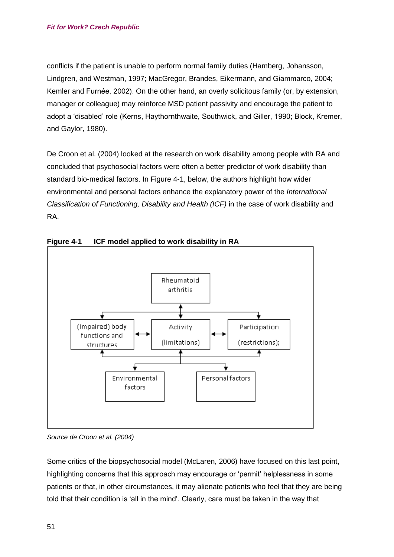conflicts if the patient is unable to perform normal family duties (Hamberg, Johansson, Lindgren, and Westman, 1997; MacGregor, Brandes, Eikermann, and Giammarco, 2004; Kemler and Furnée, 2002). On the other hand, an overly solicitous family (or, by extension, manager or colleague) may reinforce MSD patient passivity and encourage the patient to adopt a 'disabled' role (Kerns, Haythornthwaite, Southwick, and Giller, 1990; Block, Kremer, and Gaylor, 1980).

De Croon et al. (2004) looked at the research on work disability among people with RA and concluded that psychosocial factors were often a better predictor of work disability than standard bio-medical factors. In Figure 4-1, below, the authors highlight how wider environmental and personal factors enhance the explanatory power of the *International Classification of Functioning, Disability and Health (ICF)* in the case of work disability and RA.



**Figure 4-1 ICF model applied to work disability in RA** 

Some critics of the biopsychosocial model (McLaren, 2006) have focused on this last point, highlighting concerns that this approach may encourage or 'permit' helplessness in some patients or that, in other circumstances, it may alienate patients who feel that they are being told that their condition is 'all in the mind'. Clearly, care must be taken in the way that

*Source de Croon et al. (2004)*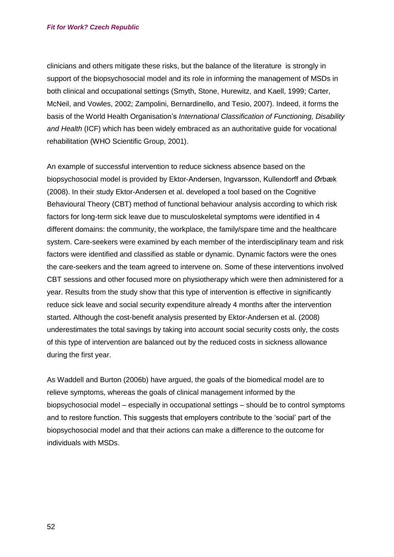clinicians and others mitigate these risks, but the balance of the literature is strongly in support of the biopsychosocial model and its role in informing the management of MSDs in both clinical and occupational settings (Smyth, Stone, Hurewitz, and Kaell, 1999; Carter, McNeil, and Vowles, 2002; Zampolini, Bernardinello, and Tesio, 2007). Indeed, it forms the basis of the World Health Organisation's *International Classification of Functioning, Disability and Health* (ICF) which has been widely embraced as an authoritative guide for vocational rehabilitation (WHO Scientific Group, 2001).

An example of successful intervention to reduce sickness absence based on the biopsychosocial model is provided by Ektor-Andersen, Ingvarsson, Kullendorff and Ørbæk (2008). In their study Ektor-Andersen et al. developed a tool based on the Cognitive Behavioural Theory (CBT) method of functional behaviour analysis according to which risk factors for long-term sick leave due to musculoskeletal symptoms were identified in 4 different domains: the community, the workplace, the family/spare time and the healthcare system. Care-seekers were examined by each member of the interdisciplinary team and risk factors were identified and classified as stable or dynamic. Dynamic factors were the ones the care-seekers and the team agreed to intervene on. Some of these interventions involved CBT sessions and other focused more on physiotherapy which were then administered for a year. Results from the study show that this type of intervention is effective in significantly reduce sick leave and social security expenditure already 4 months after the intervention started. Although the cost-benefit analysis presented by Ektor-Andersen et al. (2008) underestimates the total savings by taking into account social security costs only, the costs of this type of intervention are balanced out by the reduced costs in sickness allowance during the first year.

As Waddell and Burton (2006b) have argued, the goals of the biomedical model are to relieve symptoms, whereas the goals of clinical management informed by the biopsychosocial model – especially in occupational settings – should be to control symptoms and to restore function. This suggests that employers contribute to the 'social' part of the biopsychosocial model and that their actions can make a difference to the outcome for individuals with MSDs.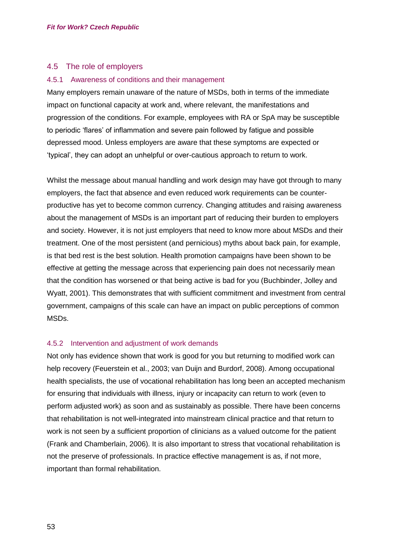## 4.5 The role of employers

#### 4.5.1 Awareness of conditions and their management

Many employers remain unaware of the nature of MSDs, both in terms of the immediate impact on functional capacity at work and, where relevant, the manifestations and progression of the conditions. For example, employees with RA or SpA may be susceptible to periodic 'flares' of inflammation and severe pain followed by fatigue and possible depressed mood. Unless employers are aware that these symptoms are expected or 'typical', they can adopt an unhelpful or over-cautious approach to return to work.

Whilst the message about manual handling and work design may have got through to many employers, the fact that absence and even reduced work requirements can be counterproductive has yet to become common currency. Changing attitudes and raising awareness about the management of MSDs is an important part of reducing their burden to employers and society. However, it is not just employers that need to know more about MSDs and their treatment. One of the most persistent (and pernicious) myths about back pain, for example, is that bed rest is the best solution. Health promotion campaigns have been shown to be effective at getting the message across that experiencing pain does not necessarily mean that the condition has worsened or that being active is bad for you (Buchbinder, Jolley and Wyatt, 2001). This demonstrates that with sufficient commitment and investment from central government, campaigns of this scale can have an impact on public perceptions of common MSDs.

## 4.5.2 Intervention and adjustment of work demands

Not only has evidence shown that work is good for you but returning to modified work can help recovery (Feuerstein et al., 2003; van Duijn and Burdorf, 2008). Among occupational health specialists, the use of vocational rehabilitation has long been an accepted mechanism for ensuring that individuals with illness, injury or incapacity can return to work (even to perform adjusted work) as soon and as sustainably as possible. There have been concerns that rehabilitation is not well-integrated into mainstream clinical practice and that return to work is not seen by a sufficient proportion of clinicians as a valued outcome for the patient (Frank and Chamberlain, 2006). It is also important to stress that vocational rehabilitation is not the preserve of professionals. In practice effective management is as, if not more, important than formal rehabilitation.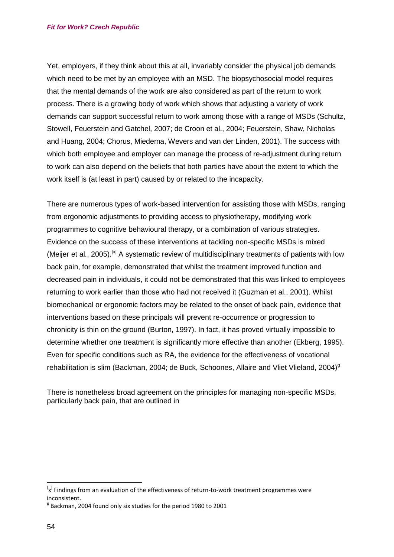#### *Fit for Work? Czech Republic*

Yet, employers, if they think about this at all, invariably consider the physical job demands which need to be met by an employee with an MSD. The biopsychosocial model requires that the mental demands of the work are also considered as part of the return to work process. There is a growing body of work which shows that adjusting a variety of work demands can support successful return to work among those with a range of MSDs (Schultz, Stowell, Feuerstein and Gatchel, 2007; de Croon et al., 2004; Feuerstein, Shaw, Nicholas and Huang, 2004; Chorus, Miedema, Wevers and van der Linden, 2001). The success with which both employee and employer can manage the process of re-adjustment during return to work can also depend on the beliefs that both parties have about the extent to which the work itself is (at least in part) caused by or related to the incapacity.

There are numerous types of work-based intervention for assisting those with MSDs, ranging from ergonomic adjustments to providing access to physiotherapy, modifying work programmes to cognitive behavioural therapy, or a combination of various strategies. Evidence on the success of these interventions at tackling non-specific MSDs is mixed (Meijer et al., 2005).<sup>[x]</sup> A systematic review of multidisciplinary treatments of patients with low back pain, for example, demonstrated that whilst the treatment improved function and decreased pain in individuals, it could not be demonstrated that this was linked to employees returning to work earlier than those who had not received it (Guzman et al., 2001). Whilst biomechanical or ergonomic factors may be related to the onset of back pain, evidence that interventions based on these principals will prevent re-occurrence or progression to chronicity is thin on the ground (Burton, 1997). In fact, it has proved virtually impossible to determine whether one treatment is significantly more effective than another (Ekberg, 1995). Even for specific conditions such as RA, the evidence for the effectiveness of vocational rehabilitation is slim (Backman, 2004; de Buck, Schoones, Allaire and Vliet Vlieland, 2004)<sup>g</sup>

There is nonetheless broad agreement on the principles for managing non-specific MSDs, particularly back pain, that are outlined in

 $\overline{a}$ 

 $\mathsf{I}_{\mathsf{x}}^{\mathsf{I}}$  Findings from an evaluation of the effectiveness of return-to-work treatment programmes were inconsistent.

 $8$  Backman, 2004 found only six studies for the period 1980 to 2001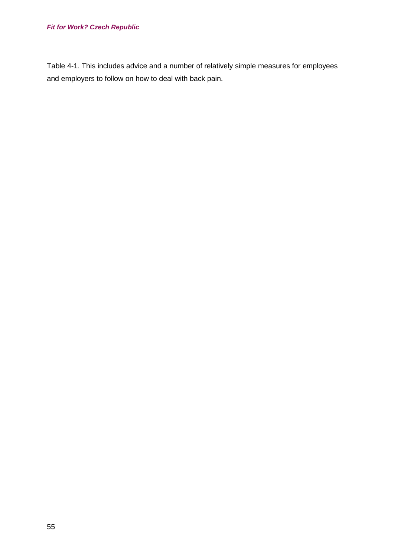## *Fit for Work? Czech Republic*

<span id="page-54-0"></span>[Table 4-1.](#page-54-0) This includes advice and a number of relatively simple measures for employees and employers to follow on how to deal with back pain.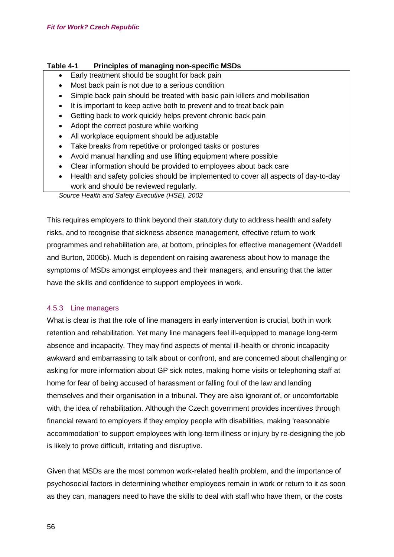## **Table 4-1 Principles of managing non-specific MSDs**

- Early treatment should be sought for back pain
- Most back pain is not due to a serious condition
- Simple back pain should be treated with basic pain killers and mobilisation
- It is important to keep active both to prevent and to treat back pain
- Getting back to work quickly helps prevent chronic back pain
- Adopt the correct posture while working
- All workplace equipment should be adjustable
- Take breaks from repetitive or prolonged tasks or postures
- Avoid manual handling and use lifting equipment where possible
- Clear information should be provided to employees about back care
- Health and safety policies should be implemented to cover all aspects of day-to-day work and should be reviewed regularly.

*Source Health and Safety Executive (HSE), 2002*

This requires employers to think beyond their statutory duty to address health and safety risks, and to recognise that sickness absence management, effective return to work programmes and rehabilitation are, at bottom, principles for effective management (Waddell and Burton, 2006b). Much is dependent on raising awareness about how to manage the symptoms of MSDs amongst employees and their managers, and ensuring that the latter have the skills and confidence to support employees in work.

## 4.5.3 Line managers

What is clear is that the role of line managers in early intervention is crucial, both in work retention and rehabilitation. Yet many line managers feel ill-equipped to manage long-term absence and incapacity. They may find aspects of mental ill-health or chronic incapacity awkward and embarrassing to talk about or confront, and are concerned about challenging or asking for more information about GP sick notes, making home visits or telephoning staff at home for fear of being accused of harassment or falling foul of the law and landing themselves and their organisation in a tribunal. They are also ignorant of, or uncomfortable with, the idea of rehabilitation. Although the Czech government provides incentives through financial reward to employers if they employ people with disabilities, making 'reasonable accommodation' to support employees with long-term illness or injury by re-designing the job is likely to prove difficult, irritating and disruptive.

Given that MSDs are the most common work-related health problem, and the importance of psychosocial factors in determining whether employees remain in work or return to it as soon as they can, managers need to have the skills to deal with staff who have them, or the costs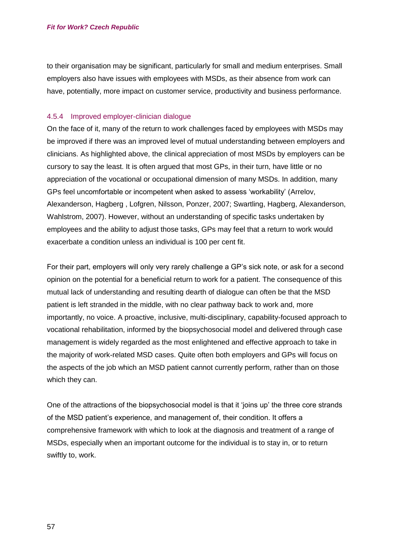to their organisation may be significant, particularly for small and medium enterprises. Small employers also have issues with employees with MSDs, as their absence from work can have, potentially, more impact on customer service, productivity and business performance.

#### 4.5.4 Improved employer-clinician dialogue

On the face of it, many of the return to work challenges faced by employees with MSDs may be improved if there was an improved level of mutual understanding between employers and clinicians. As highlighted above, the clinical appreciation of most MSDs by employers can be cursory to say the least. It is often argued that most GPs, in their turn, have little or no appreciation of the vocational or occupational dimension of many MSDs. In addition, many GPs feel uncomfortable or incompetent when asked to assess 'workability' (Arrelov, Alexanderson, Hagberg , Lofgren, Nilsson, Ponzer, 2007; Swartling, Hagberg, Alexanderson, Wahlstrom, 2007). However, without an understanding of specific tasks undertaken by employees and the ability to adjust those tasks, GPs may feel that a return to work would exacerbate a condition unless an individual is 100 per cent fit.

For their part, employers will only very rarely challenge a GP's sick note, or ask for a second opinion on the potential for a beneficial return to work for a patient. The consequence of this mutual lack of understanding and resulting dearth of dialogue can often be that the MSD patient is left stranded in the middle, with no clear pathway back to work and, more importantly, no voice. A proactive, inclusive, multi-disciplinary, capability-focused approach to vocational rehabilitation, informed by the biopsychosocial model and delivered through case management is widely regarded as the most enlightened and effective approach to take in the majority of work-related MSD cases. Quite often both employers and GPs will focus on the aspects of the job which an MSD patient cannot currently perform, rather than on those which they can.

One of the attractions of the biopsychosocial model is that it 'joins up' the three core strands of the MSD patient's experience, and management of, their condition. It offers a comprehensive framework with which to look at the diagnosis and treatment of a range of MSDs, especially when an important outcome for the individual is to stay in, or to return swiftly to, work.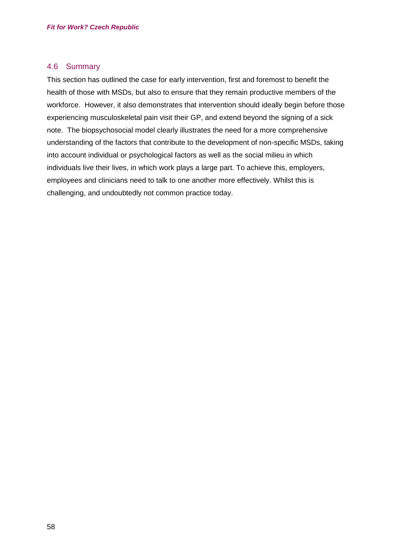## 4.6 Summary

This section has outlined the case for early intervention, first and foremost to benefit the health of those with MSDs, but also to ensure that they remain productive members of the workforce. However, it also demonstrates that intervention should ideally begin before those experiencing musculoskeletal pain visit their GP, and extend beyond the signing of a sick note. The biopsychosocial model clearly illustrates the need for a more comprehensive understanding of the factors that contribute to the development of non-specific MSDs, taking into account individual or psychological factors as well as the social milieu in which individuals live their lives, in which work plays a large part. To achieve this, employers, employees and clinicians need to talk to one another more effectively. Whilst this is challenging, and undoubtedly not common practice today.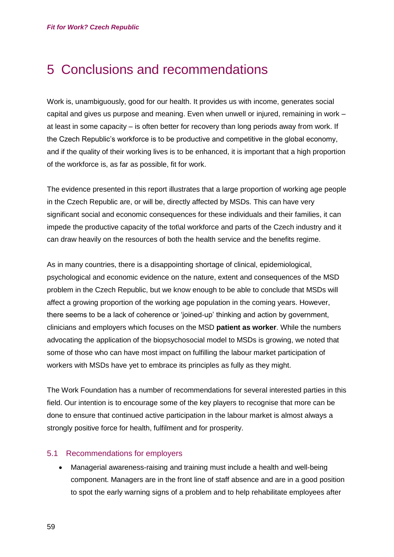# 5 Conclusions and recommendations

Work is, unambiguously, good for our health. It provides us with income, generates social capital and gives us purpose and meaning. Even when unwell or injured, remaining in work – at least in some capacity – is often better for recovery than long periods away from work. If the Czech Republic's workforce is to be productive and competitive in the global economy, and if the quality of their working lives is to be enhanced, it is important that a high proportion of the workforce is, as far as possible, fit for work.

The evidence presented in this report illustrates that a large proportion of working age people in the Czech Republic are, or will be, directly affected by MSDs. This can have very significant social and economic consequences for these individuals and their families, it can impede the productive capacity of the tot\al workforce and parts of the Czech industry and it can draw heavily on the resources of both the health service and the benefits regime.

As in many countries, there is a disappointing shortage of clinical, epidemiological, psychological and economic evidence on the nature, extent and consequences of the MSD problem in the Czech Republic, but we know enough to be able to conclude that MSDs will affect a growing proportion of the working age population in the coming years. However, there seems to be a lack of coherence or 'joined-up' thinking and action by government, clinicians and employers which focuses on the MSD **patient as worker**. While the numbers advocating the application of the biopsychosocial model to MSDs is growing, we noted that some of those who can have most impact on fulfilling the labour market participation of workers with MSDs have yet to embrace its principles as fully as they might.

The Work Foundation has a number of recommendations for several interested parties in this field. Our intention is to encourage some of the key players to recognise that more can be done to ensure that continued active participation in the labour market is almost always a strongly positive force for health, fulfilment and for prosperity.

## 5.1 Recommendations for employers

 Managerial awareness-raising and training must include a health and well-being component. Managers are in the front line of staff absence and are in a good position to spot the early warning signs of a problem and to help rehabilitate employees after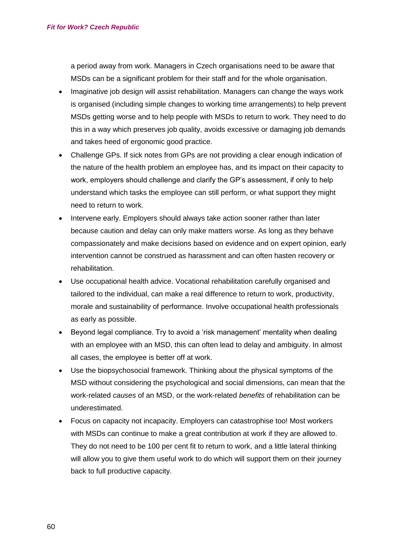a period away from work. Managers in Czech organisations need to be aware that MSDs can be a significant problem for their staff and for the whole organisation.

- Imaginative job design will assist rehabilitation. Managers can change the ways work is organised (including simple changes to working time arrangements) to help prevent MSDs getting worse and to help people with MSDs to return to work. They need to do this in a way which preserves job quality, avoids excessive or damaging job demands and takes heed of ergonomic good practice.
- Challenge GPs. If sick notes from GPs are not providing a clear enough indication of the nature of the health problem an employee has, and its impact on their capacity to work, employers should challenge and clarify the GP's assessment, if only to help understand which tasks the employee can still perform, or what support they might need to return to work.
- Intervene early. Employers should always take action sooner rather than later because caution and delay can only make matters worse. As long as they behave compassionately and make decisions based on evidence and on expert opinion, early intervention cannot be construed as harassment and can often hasten recovery or rehabilitation.
- Use occupational health advice. Vocational rehabilitation carefully organised and tailored to the individual, can make a real difference to return to work, productivity, morale and sustainability of performance. Involve occupational health professionals as early as possible.
- Beyond legal compliance. Try to avoid a 'risk management' mentality when dealing with an employee with an MSD, this can often lead to delay and ambiguity. In almost all cases, the employee is better off at work.
- Use the biopsychosocial framework. Thinking about the physical symptoms of the MSD without considering the psychological and social dimensions, can mean that the work-related *causes* of an MSD, or the work-related *benefits* of rehabilitation can be underestimated.
- Focus on capacity not incapacity. Employers can catastrophise too! Most workers with MSDs can continue to make a great contribution at work if they are allowed to. They do not need to be 100 per cent fit to return to work, and a little lateral thinking will allow you to give them useful work to do which will support them on their journey back to full productive capacity.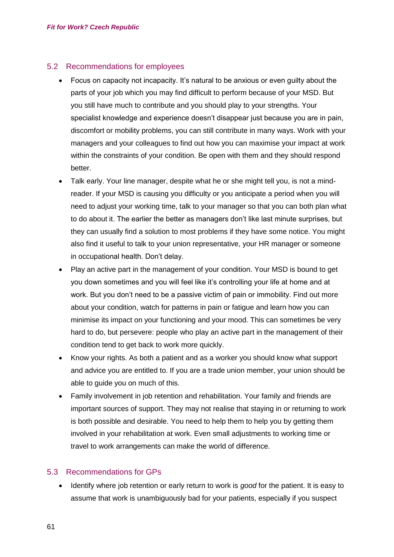## 5.2 Recommendations for employees

- Focus on capacity not incapacity. It's natural to be anxious or even guilty about the parts of your job which you may find difficult to perform because of your MSD. But you still have much to contribute and you should play to your strengths. Your specialist knowledge and experience doesn't disappear just because you are in pain, discomfort or mobility problems, you can still contribute in many ways. Work with your managers and your colleagues to find out how you can maximise your impact at work within the constraints of your condition. Be open with them and they should respond better.
- Talk early. Your line manager, despite what he or she might tell you, is not a mindreader. If your MSD is causing you difficulty or you anticipate a period when you will need to adjust your working time, talk to your manager so that you can both plan what to do about it. The earlier the better as managers don't like last minute surprises, but they can usually find a solution to most problems if they have some notice. You might also find it useful to talk to your union representative, your HR manager or someone in occupational health. Don't delay.
- Play an active part in the management of your condition. Your MSD is bound to get you down sometimes and you will feel like it's controlling your life at home and at work. But you don't need to be a passive victim of pain or immobility. Find out more about your condition, watch for patterns in pain or fatigue and learn how you can minimise its impact on your functioning and your mood. This can sometimes be very hard to do, but persevere: people who play an active part in the management of their condition tend to get back to work more quickly.
- Know your rights. As both a patient and as a worker you should know what support and advice you are entitled to. If you are a trade union member, your union should be able to guide you on much of this.
- Family involvement in job retention and rehabilitation. Your family and friends are important sources of support. They may not realise that staying in or returning to work is both possible and desirable. You need to help them to help you by getting them involved in your rehabilitation at work. Even small adjustments to working time or travel to work arrangements can make the world of difference.

## 5.3 Recommendations for GPs

 Identify where job retention or early return to work is *good* for the patient. It is easy to assume that work is unambiguously bad for your patients, especially if you suspect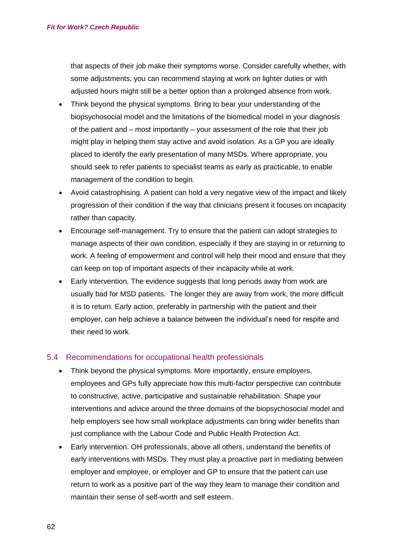that aspects of their job make their symptoms worse. Consider carefully whether, with some adjustments, you can recommend staying at work on lighter duties or with adjusted hours might still be a better option than a prolonged absence from work.

- Think beyond the physical symptoms. Bring to bear your understanding of the biopsychosocial model and the limitations of the biomedical model in your diagnosis of the patient and – most importantly – your assessment of the role that their job might play in helping them stay active and avoid isolation. As a GP you are ideally placed to identify the early presentation of many MSDs. Where appropriate, you should seek to refer patients to specialist teams as early as practicable, to enable management of the condition to begin.
- Avoid catastrophising. A patient can hold a very negative view of the impact and likely progression of their condition if the way that clinicians present it focuses on incapacity rather than capacity.
- Encourage self-management. Try to ensure that the patient can adopt strategies to manage aspects of their own condition, especially if they are staying in or returning to work. A feeling of empowerment and control will help their mood and ensure that they can keep on top of important aspects of their incapacity while at work.
- Early intervention. The evidence suggests that long periods away from work are usually bad for MSD patients. The longer they are away from work, the more difficult it is to return. Early action, preferably in partnership with the patient and their employer, can help achieve a balance between the individual's need for respite and their need to work.

## 5.4 Recommendations for occupational health professionals

- Think beyond the physical symptoms. More importantly, ensure employers, employees and GPs fully appreciate how this multi-factor perspective can contribute to constructive, active, participative and sustainable rehabilitation. Shape your interventions and advice around the three domains of the biopsychosocial model and help employers see how small workplace adjustments can bring wider benefits than just compliance with the Labour Code and Public Health Protection Act.
- Early intervention. OH professionals, above all others, understand the benefits of early interventions with MSDs. They must play a proactive part in mediating between employer and employee, or employer and GP to ensure that the patient can use return to work as a positive part of the way they learn to manage their condition and maintain their sense of self-worth and self esteem.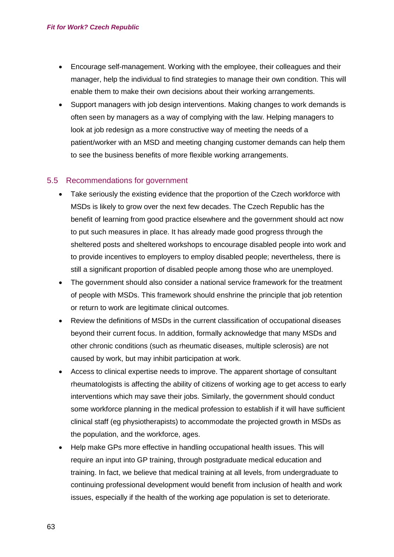- Encourage self-management. Working with the employee, their colleagues and their manager, help the individual to find strategies to manage their own condition. This will enable them to make their own decisions about their working arrangements.
- Support managers with job design interventions. Making changes to work demands is often seen by managers as a way of complying with the law. Helping managers to look at job redesign as a more constructive way of meeting the needs of a patient/worker with an MSD and meeting changing customer demands can help them to see the business benefits of more flexible working arrangements.

## 5.5 Recommendations for government

- Take seriously the existing evidence that the proportion of the Czech workforce with MSDs is likely to grow over the next few decades. The Czech Republic has the benefit of learning from good practice elsewhere and the government should act now to put such measures in place. It has already made good progress through the sheltered posts and sheltered workshops to encourage disabled people into work and to provide incentives to employers to employ disabled people; nevertheless, there is still a significant proportion of disabled people among those who are unemployed.
- The government should also consider a national service framework for the treatment of people with MSDs. This framework should enshrine the principle that job retention or return to work are legitimate clinical outcomes.
- Review the definitions of MSDs in the current classification of occupational diseases beyond their current focus. In addition, formally acknowledge that many MSDs and other chronic conditions (such as rheumatic diseases, multiple sclerosis) are not caused by work, but may inhibit participation at work.
- Access to clinical expertise needs to improve. The apparent shortage of consultant rheumatologists is affecting the ability of citizens of working age to get access to early interventions which may save their jobs. Similarly, the government should conduct some workforce planning in the medical profession to establish if it will have sufficient clinical staff (eg physiotherapists) to accommodate the projected growth in MSDs as the population, and the workforce, ages.
- Help make GPs more effective in handling occupational health issues. This will require an input into GP training, through postgraduate medical education and training. In fact, we believe that medical training at all levels, from undergraduate to continuing professional development would benefit from inclusion of health and work issues, especially if the health of the working age population is set to deteriorate.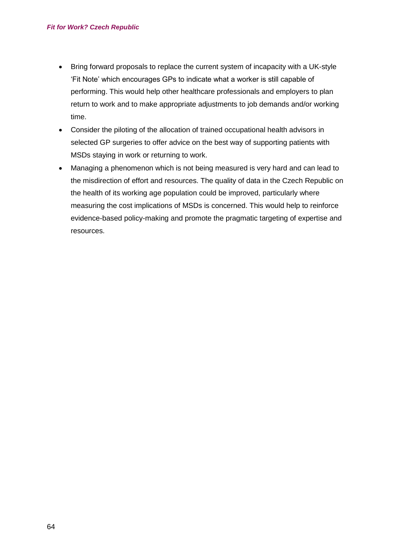- Bring forward proposals to replace the current system of incapacity with a UK-style 'Fit Note' which encourages GPs to indicate what a worker is still capable of performing. This would help other healthcare professionals and employers to plan return to work and to make appropriate adjustments to job demands and/or working time.
- Consider the piloting of the allocation of trained occupational health advisors in selected GP surgeries to offer advice on the best way of supporting patients with MSDs staying in work or returning to work.
- Managing a phenomenon which is not being measured is very hard and can lead to the misdirection of effort and resources. The quality of data in the Czech Republic on the health of its working age population could be improved, particularly where measuring the cost implications of MSDs is concerned. This would help to reinforce evidence-based policy-making and promote the pragmatic targeting of expertise and resources.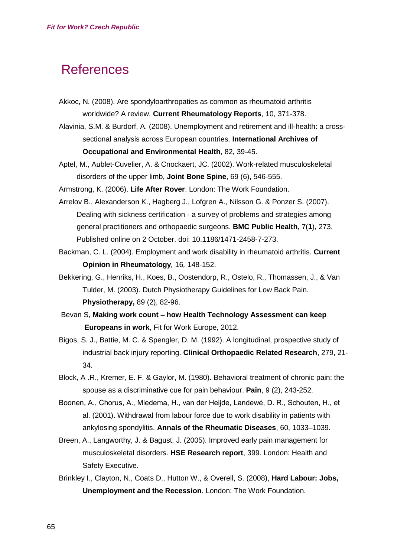# **References**

- Akkoc, N. (2008). Are spondyloarthropaties as common as rheumatoid arthritis worldwide? A review. **Current Rheumatology Reports**, 10, 371-378.
- Alavinia, S.M. & Burdorf, A. (2008). Unemployment and retirement and ill-health: a crosssectional analysis across European countries. **International Archives of Occupational and Environmental Health**, 82, 39-45.
- Aptel, M., Aublet-Cuvelier, A. & Cnockaert, JC. (2002). Work-related musculoskeletal disorders of the upper limb, **Joint Bone Spine**, 69 (6), 546-555.

Armstrong, K. (2006). **Life After Rover**. London: The Work Foundation.

- Arrelov B., Alexanderson K., Hagberg J., Lofgren A., Nilsson G. & Ponzer S. (2007). Dealing with sickness certification - a survey of problems and strategies among general practitioners and orthopaedic surgeons. **BMC Public Health**, 7(**1**), 273. Published online on 2 October. doi: 10.1186/1471-2458-7-273.
- Backman, C. L. (2004). Employment and work disability in rheumatoid arthritis. **Current Opinion in Rheumatology***,* 16*,* 148-152.
- Bekkering, G., Henriks, H., Koes, B., Oostendorp, R., Ostelo, R., Thomassen, J., & Van Tulder, M. (2003). Dutch Physiotherapy Guidelines for Low Back Pain. **Physiotherapy,** 89 (2), 82-96.
- Bevan S, **Making work count – how Health Technology Assessment can keep Europeans in work**, Fit for Work Europe, 2012.
- Bigos, S. J., Battie, M. C. & Spengler, D. M. (1992). A longitudinal, prospective study of industrial back injury reporting. **Clinical Orthopaedic Related Research**, 279, 21- 34.
- Block, A .R., Kremer, E. F. & Gaylor, M. (1980). Behavioral treatment of chronic pain: the spouse as a discriminative cue for pain behaviour. **Pain**, 9 (2), 243-252.
- Boonen, A., Chorus, A., Miedema, H., van der Heijde, Landewé, D. R., Schouten, H., et al. (2001). Withdrawal from labour force due to work disability in patients with ankylosing spondylitis. **Annals of the Rheumatic Diseases**, 60, 1033–1039.
- Breen, A., Langworthy, J. & Bagust, J. (2005). Improved early pain management for musculoskeletal disorders. **HSE Research report**, 399. London: Health and Safety Executive.
- Brinkley I., Clayton, N., Coats D., Hutton W., & Overell, S. (2008), **Hard Labour: Jobs, Unemployment and the Recession**. London: The Work Foundation.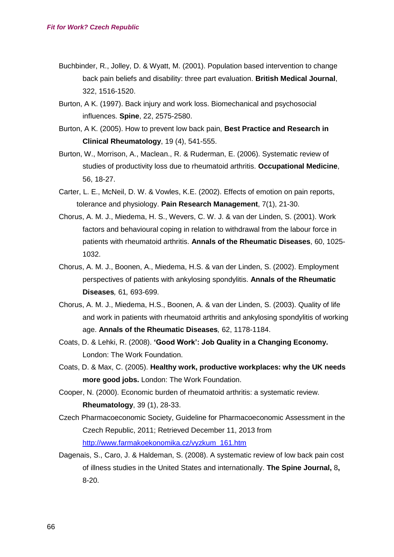- Buchbinder, R., Jolley, D. & Wyatt, M. (2001). Population based intervention to change back pain beliefs and disability: three part evaluation. **British Medical Journal**, 322, 1516-1520.
- Burton, A K. (1997). Back injury and work loss. Biomechanical and psychosocial influences. **Spine**, 22, 2575-2580.
- Burton, A K. (2005). How to prevent low back pain, **Best Practice and Research in Clinical Rheumatology**, 19 (4), 541-555.
- Burton, W., Morrison, A., Maclean., R. & Ruderman, E. (2006). Systematic review of studies of productivity loss due to rheumatoid arthritis. **Occupational Medicine**, 56, 18-27.
- Carter, L. E., McNeil, D. W. & Vowles, K.E. (2002). Effects of emotion on pain reports, tolerance and physiology. **Pain Research Management**, 7(1), 21-30.
- Chorus, A. M. J., Miedema, H. S., Wevers, C. W. J. & van der Linden, S. (2001). Work factors and behavioural coping in relation to withdrawal from the labour force in patients with rheumatoid arthritis. **Annals of the Rheumatic Diseases**, 60, 1025- 1032.
- Chorus, A. M. J., Boonen, A., Miedema, H.S. & van der Linden, S. (2002). Employment perspectives of patients with ankylosing spondylitis. **Annals of the Rheumatic Diseases***,* 61*,* 693-699.
- Chorus, A. M. J., Miedema, H.S., Boonen, A. & van der Linden, S. (2003). Quality of life and work in patients with rheumatoid arthritis and ankylosing spondylitis of working age. **Annals of the Rheumatic Diseases***,* 62, 1178-1184.
- Coats, D. & Lehki, R. (2008). **'Good Work': Job Quality in a Changing Economy.** London: The Work Foundation.
- Coats, D. & Max, C. (2005). **[Healthy work, productive workplaces: why the UK needs](http://www.theworkfoundation.com/Assets/PDFs/Healthy_Work.pdf)  [more good jobs.](http://www.theworkfoundation.com/Assets/PDFs/Healthy_Work.pdf)** London: The Work Foundation.
- Cooper, N. (2000). Economic burden of rheumatoid arthritis: a systematic review. **Rheumatology**, 39 (1), 28-33.
- Czech Pharmacoeconomic Society, Guideline for Pharmacoeconomic Assessment in the Czech Republic, 2011; Retrieved December 11, 2013 from [http://www.farmakoekonomika.cz/vyzkum\\_161.htm](http://www.farmakoekonomika.cz/vyzkum_161.htm)
- Dagenais, S., Caro, J. & Haldeman, S. (2008). A systematic review of low back pain cost of illness studies in the United States and internationally. **The Spine Journal,** 8**,**  8-20.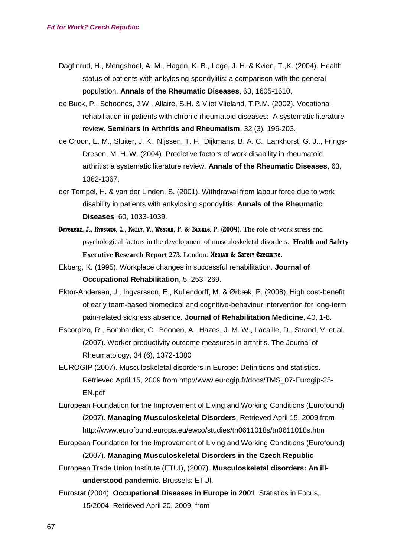- Dagfinrud, H., Mengshoel, A. M., Hagen, K. B., Loge, J. H. & Kvien, T.,K. (2004). Health status of patients with ankylosing spondylitis: a comparison with the general population. **Annals of the Rheumatic Diseases**, 63, 1605-1610.
- de Buck, P., Schoones, J.W., Allaire, S.H. & Vliet Vlieland, T.P.M. (2002). Vocational rehabiliation in patients with chronic rheumatoid diseases: A systematic literature review. **Seminars in Arthritis and Rheumatism**, 32 (3), 196-203.
- de Croon, E. M., Sluiter, J. K., Nijssen, T. F., Dijkmans, B. A. C., Lankhorst, G. J.., Frings-Dresen, M. H. W. (2004). Predictive factors of work disability in rheumatoid arthritis: a systematic literature review. **Annals of the Rheumatic Diseases**, 63, 1362-1367.
- der Tempel, H. & van der Linden, S. (2001). Withdrawal from labour force due to work disability in patients with ankylosing spondylitis. **Annals of the Rheumatic Diseases**, 60, 1033-1039.
- Devereux, J., Rypstedt, L., Kelly, Y., Weston, P. & Buckle, P. (2004). The role of work stress and psychological factors in the development of musculoskeletal disorders. **Health and Safety Executive Research Report 273**. London: Health & Safety Executive.
- Ekberg, K. (1995). Workplace changes in successful rehabilitation. **Journal of Occupational Rehabilitation**, 5, 253–269.
- Ektor-Andersen, J., Ingvarsson, E., Kullendorff, M. & Ørbæk, P. (2008). High cost-benefit of early team-based biomedical and cognitive-behaviour intervention for long-term pain-related sickness absence. **Journal of Rehabilitation Medicine**, 40, 1-8.
- Escorpizo, R., Bombardier, C., Boonen, A., Hazes, J. M. W., Lacaille, D., Strand, V. et al. (2007). Worker productivity outcome measures in arthritis. The Journal of Rheumatology, 34 (6), 1372-1380
- EUROGIP (2007). Musculoskeletal disorders in Europe: Definitions and statistics. Retrieved April 15, 2009 from http://www.eurogip.fr/docs/TMS\_07-Eurogip-25- EN.pdf

European Foundation for the Improvement of Living and Working Conditions (Eurofound) (2007). **Managing Musculoskeletal Disorders**. Retrieved April 15, 2009 from http://www.eurofound.europa.eu/ewco/studies/tn0611018s/tn0611018s.htm

- European Foundation for the Improvement of Living and Working Conditions (Eurofound) (2007). **Managing Musculoskeletal Disorders in the Czech Republic**
- European Trade Union Institute (ETUI), (2007). **Musculoskeletal disorders: An illunderstood pandemic**. Brussels: ETUI.
- Eurostat (2004). **Occupational Diseases in Europe in 2001**. Statistics in Focus, 15/2004. Retrieved April 20, 2009, from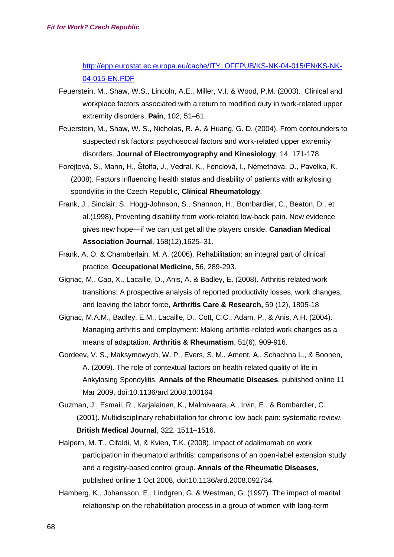[http://epp.eurostat.ec.europa.eu/cache/ITY\\_OFFPUB/KS-NK-04-015/EN/KS-NK-](http://epp.eurostat.ec.europa.eu/cache/ITY_OFFPUB/KS-NK-04-015/EN/KS-NK-04-015-EN.PDF)[04-015-EN.PDF](http://epp.eurostat.ec.europa.eu/cache/ITY_OFFPUB/KS-NK-04-015/EN/KS-NK-04-015-EN.PDF)

- Feuerstein, M., Shaw, W.S., Lincoln, A.E., Miller, V.I. & Wood, P.M. (2003). Clinical and workplace factors associated with a return to modified duty in work-related upper extremity disorders. **Pain**, 102, 51–61.
- Feuerstein, M., Shaw, W. S., Nicholas, R. A. & Huang, G. D. (2004). From confounders to suspected risk factors: psychosocial factors and work-related upper extremity disorders. **Journal of Electromyography and Kinesiology**, 14, 171-178.
- Forejtová, S., Mann, H., Štolfa, J., Vedral, K., Fenclová, I., Némethová, D., Pavelka, K. (2008). Factors influencing health status and disability of patients with ankylosing spondylitis in the Czech Republic, **Clinical Rheumatology**.
- Frank, J., Sinclair, S., Hogg-Johnson, S., Shannon, H., Bombardier, C., Beaton, D., et al.(1998), Preventing disability from work-related low-back pain. New evidence gives new hope—if we can just get all the players onside. **Canadian Medical Association Journal**, 158(12),1625–31.
- Frank, A. O. & Chamberlain, M. A. (2006). Rehabilitation: an integral part of clinical practice. **Occupational Medicine**, 56, 289-293.
- Gignac, M., Cao, X., Lacaille, D., Anis, A. & Badley, E. (2008). Arthritis-related work transitions: A prospective analysis of reported productivity losses, work changes, and leaving the labor force, **Arthritis Care & Research,** 59 (12), 1805-18
- Gignac, M.A.M., Badley, E.M., Lacaille, D., Cott, C.C., Adam, P., & Anis, A.H. (2004). Managing arthritis and employment: Making arthritis-related work changes as a means of adaptation. **Arthritis & Rheumatism**, 51(6), 909-916.
- Gordeev, V. S., Maksymowych, W. P., Evers, S. M., Ament, A., Schachna L., & Boonen, A. (2009). The role of contextual factors on health-related quality of life in Ankylosing Spondylitis. **Annals of the Rheumatic Diseases**, published online 11 Mar 2009, doi:10.1136/ard.2008.100164
- Guzman, J., Esmail, R., Karjalainen, K., Malmivaara, A., Irvin, E., & Bombardier, C. (2001). Multidisciplinary rehabilitation for chronic low back pain: systematic review. **British Medical Journal**, 322, 1511–1516.
- Halpern, M. T., Cifaldi, M, & Kvien, T.K. (2008). Impact of adalimumab on work participation in rheumatoid arthritis: comparisons of an open-label extension study and a registry-based control group. **Annals of the Rheumatic Diseases**, published online 1 Oct 2008, doi:10.1136/ard.2008.092734.
- Hamberg, K., Johansson, E., Lindgren, G. & Westman, G. (1997). The impact of marital relationship on the rehabilitation process in a group of women with long-term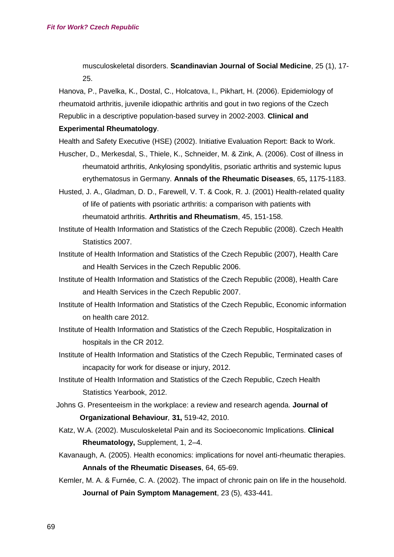musculoskeletal disorders. **Scandinavian Journal of Social Medicine**, 25 (1), 17- 25.

Hanova, P., Pavelka, K., Dostal, C., Holcatova, I., Pikhart, H. (2006). Epidemiology of rheumatoid arthritis, juvenile idiopathic arthritis and gout in two regions of the Czech Republic in a descriptive population-based survey in 2002-2003. **Clinical and** 

#### **Experimental Rheumatology**.

- Health and Safety Executive (HSE) (2002). Initiative Evaluation Report: Back to Work.
- Huscher, D., Merkesdal, S., Thiele, K., Schneider, M. & Zink, A. (2006). Cost of illness in rheumatoid arthritis, Ankylosing spondylitis, psoriatic arthritis and systemic lupus erythematosus in Germany. **Annals of the Rheumatic Diseases**, 65**,** 1175-1183.
- Husted, J. A., Gladman, D. D., Farewell, V. T. & Cook, R. J. (2001) Health-related quality of life of patients with psoriatic arthritis: a comparison with patients with rheumatoid arthritis. **Arthritis and Rheumatism**, 45, 151-158.
- Institute of Health Information and Statistics of the Czech Republic (2008). Czech Health Statistics 2007.
- Institute of Health Information and Statistics of the Czech Republic (2007), Health Care and Health Services in the Czech Republic 2006.
- Institute of Health Information and Statistics of the Czech Republic (2008), Health Care and Health Services in the Czech Republic 2007.
- Institute of Health Information and Statistics of the Czech Republic, Economic information on health care 2012.
- Institute of Health Information and Statistics of the Czech Republic, Hospitalization in hospitals in the CR 2012.
- Institute of Health Information and Statistics of the Czech Republic, Terminated cases of incapacity for work for disease or injury, 2012.
- Institute of Health Information and Statistics of the Czech Republic, Czech Health Statistics Yearbook, 2012.
- Johns G. Presenteeism in the workplace: a review and research agenda. **Journal of Organizational Behaviour***,* **31,** 519-42, 2010.
- Katz, W.A. (2002). Musculoskeletal Pain and its Socioeconomic Implications. **Clinical Rheumatology,** Supplement, 1, 2–4.
- Kavanaugh, A. (2005). Health economics: implications for novel anti-rheumatic therapies. **Annals of the Rheumatic Diseases**, 64, 65-69.
- Kemler, M. A. & Furnée, C. A. (2002). The impact of chronic pain on life in the household. **Journal of Pain Symptom Management**, 23 (5), 433-441.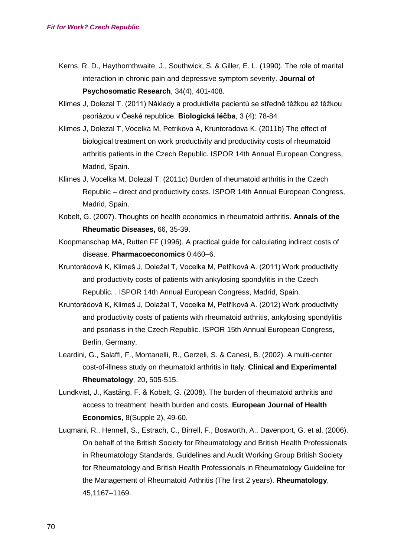- Kerns, R. D., Haythornthwaite, J., Southwick, S. & Giller, E. L. (1990). The role of marital interaction in chronic pain and depressive symptom severity. **Journal of Psychosomatic Research**, 34(4), 401-408.
- Klimes J, Dolezal T. (2011) Náklady a produktivita pacientů se středně těžkou až těžkou psoriázou v České republice. **Biologická léčba**, 3 (4): 78-84.
- Klimes J, Dolezal T, Vocelka M, Petrikova A, Kruntoradova K. (2011b) The effect of biological treatment on work productivity and productivity costs of rheumatoid arthritis patients in the Czech Republic. ISPOR 14th Annual European Congress, Madrid, Spain.
- Klimes J, Vocelka M, Dolezal T. (2011c) Burden of rheumatoid arthritis in the Czech Republic – direct and productivity costs. ISPOR 14th Annual European Congress, Madrid, Spain.
- Kobelt, G. (2007). Thoughts on health economics in rheumatoid arthritis. **Annals of the Rheumatic Diseases,** 66, 35-39.
- Koopmanschap MA, Rutten FF (1996). A practical guide for calculating indirect costs of disease. **Pharmacoeconomics** 0:460–6.
- Kruntorádová K, Klimeš J, Doležal T, Vocelka M, Petříková A. (2011) Work productivity and productivity costs of patients with ankylosing spondylitis in the Czech Republic. . ISPOR 14th Annual European Congress, Madrid, Spain.
- Kruntorádová K, Klimeš J, Dolažal T, Vocelka M, Petříková A. (2012) Work productivity and productivity costs of patients with rheumatoid arthritis, ankylosing spondylitis and psoriasis in the Czech Republic. ISPOR 15th Annual European Congress, Berlin, Germany.
- Leardini, G., Salaffi, F., Montanelli, R., Gerzeli, S. & Canesi, B. (2002). A multi-center cost-of-illness study on rheumatoid arthritis in Italy. **Clinical and Experimental Rheumatology**, 20, 505-515.
- Lundkvist, J., Kastäng, F. & Kobelt, G. (2008). The burden of rheumatoid arthritis and access to treatment: health burden and costs. **European Journal of Health Economics**, 8(Supple 2), 49-60.
- Luqmani, R., Hennell, S., Estrach, C., Birrell, F., Bosworth, A., Davenport, G. et al. (2006). On behalf of the British Society for Rheumatology and British Health Professionals in Rheumatology Standards. Guidelines and Audit Working Group British Society for Rheumatology and British Health Professionals in Rheumatology Guideline for the Management of Rheumatoid Arthritis (The first 2 years). **Rheumatology**, 45,1167–1169.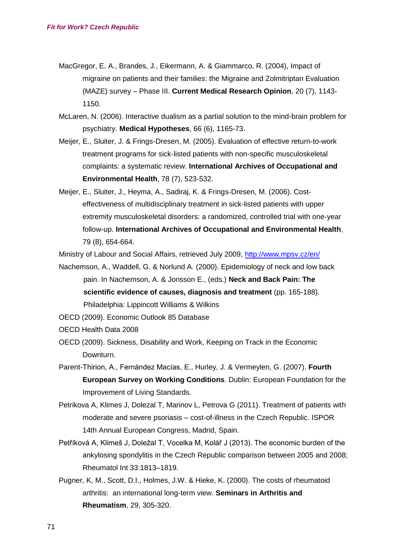- MacGregor, E. A., Brandes, J., Eikermann, A. & Giammarco, R. (2004), Impact of migraine on patients and their families: the Migraine and Zolmitriptan Evaluation (MAZE) survey – Phase III. **Current Medical Research Opinion**, 20 (7), 1143- 1150.
- McLaren, N. (2006). Interactive dualism as a partial solution to the mind-brain problem for psychiatry. **Medical Hypotheses**, 66 (6), 1165-73.
- Meijer, E., Sluiter, J. & Frings-Dresen, M. (2005). Evaluation of effective return-to-work treatment programs for sick-listed patients with non-specific musculoskeletal complaints: a systematic review. **International Archives of Occupational and Environmental Health**, 78 (7), 523-532.
- Meijer, E., Sluiter, J., Heyma, A., Sadiraj, K. & Frings-Dresen, M. (2006). Costeffectiveness of multidisciplinary treatment in sick-listed patients with upper extremity musculoskeletal disorders: a randomized, controlled trial with one-year follow-up. **International Archives of Occupational and Environmental Health**, 79 (8), 654-664.

Ministry of Labour and Social Affairs, retrieved July 2009,<http://www.mpsv.cz/en/>

- Nachemson, A., Waddell, G. & Norlund A. (2000). Epidemiology of neck and low back pain. In Nachemson, A. & Jonsson E., (eds.) **Neck and Back Pain: The scientific evidence of causes, diagnosis and treatment** (pp. 165-188). Philadelphia: Lippincott Williams & Wilkins
- OECD (2009). Economic Outlook 85 Database
- OECD Health Data 2008
- OECD (2009). Sickness, Disability and Work, Keeping on Track in the Economic Downturn.
- Parent-Thirion, A., Fernández Macías, E., Hurley, J. & Vermeylen, G. (2007). **Fourth European Survey on Working Conditions**. Dublin: European Foundation for the Improvement of Living Standards.
- Petrikova A, Klimes J, Dolezal T, Marinov L, Petrova G (2011). Treatment of patients with moderate and severe psoriasis – cost-of-illness in the Czech Republic. ISPOR 14th Annual European Congress, Madrid, Spain.
- Petříková A, Klimeš J, Doležal T, Vocelka M, Kolář J (2013). The economic burden of the ankylosing spondylitis in the Czech Republic comparison between 2005 and 2008; Rheumatol Int 33:1813–1819.
- Pugner, K, M., Scott, D.I., Holmes, J.W. & Hieke, K. (2000). The costs of rheumatoid arthritis: an international long-term view. **Seminars in Arthritis and Rheumatism**, 29, 305-320.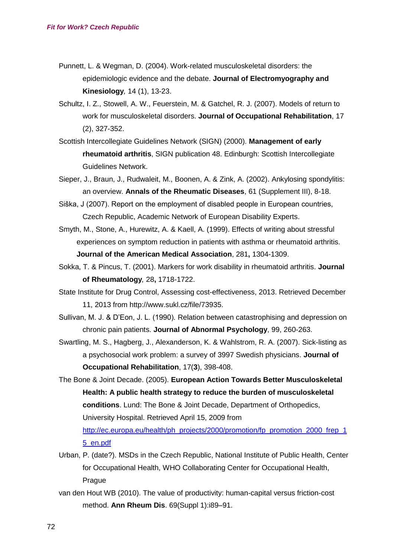- Punnett, L. & Wegman, D. (2004). Work-related musculoskeletal disorders: the epidemiologic evidence and the debate. **Journal of Electromyography and Kinesiology***,* 14 (1), 13-23.
- Schultz, I. Z., Stowell, A. W., Feuerstein, M. & Gatchel, R. J. (2007). Models of return to work for musculoskeletal disorders. **Journal of Occupational Rehabilitation**, 17 (2), 327-352.
- Scottish Intercollegiate Guidelines Network (SIGN) (2000). **Management of early rheumatoid arthritis**, SIGN publication 48. Edinburgh: Scottish Intercollegiate Guidelines Network.
- Sieper, J., Braun, J., Rudwaleit, M., Boonen, A. & Zink, A. (2002). Ankylosing spondylitis: an overview. **Annals of the Rheumatic Diseases**, 61 (Supplement III), 8-18.
- Siška, J (2007). Report on the employment of disabled people in European countries, Czech Republic, Academic Network of European Disability Experts.
- Smyth, M., Stone, A., Hurewitz, A. & Kaell, A. (1999). Effects of writing about stressful experiences on symptom reduction in patients with asthma or rheumatoid arthritis. **Journal of the American Medical Association**, 281**,** 1304-1309.
- Sokka, T. & Pincus, T. (2001). Markers for work disability in rheumatoid arthritis. **Journal of Rheumatology***,* 28**,** 1718-1722.
- State Institute for Drug Control, Assessing cost-effectiveness, 2013. Retrieved December 11, 2013 from http://www.sukl.cz/file/73935.
- Sullivan, M. J. & D'Eon, J. L. (1990). Relation between catastrophising and depression on chronic pain patients. **Journal of Abnormal Psychology**, 99, 260-263.
- Swartling, M. S., Hagberg, J., Alexanderson, K. & Wahlstrom, R. A. (2007). Sick-listing as a psychosocial work problem: a survey of 3997 Swedish physicians. **Journal of Occupational Rehabilitation**, 17(**3**), 398-408.
- The Bone & Joint Decade. (2005). **European Action Towards Better Musculoskeletal Health: A public health strategy to reduce the burden of musculoskeletal conditions**. Lund: The Bone & Joint Decade, Department of Orthopedics, University Hospital. Retrieved April 15, 2009 from [http://ec.europa.eu/health/ph\\_projects/2000/promotion/fp\\_promotion\\_2000\\_frep\\_1](http://ec.europa.eu/health/ph_projects/2000/promotion/fp_promotion_2000_frep_15_en.pdf) [5\\_en.pdf](http://ec.europa.eu/health/ph_projects/2000/promotion/fp_promotion_2000_frep_15_en.pdf)
- Urban, P. (date?). MSDs in the Czech Republic, National Institute of Public Health, Center for Occupational Health, WHO Collaborating Center for Occupational Health, Prague
- van den Hout WB (2010). The value of productivity: human-capital versus friction-cost method. **Ann Rheum Dis**. 69(Suppl 1):i89–91.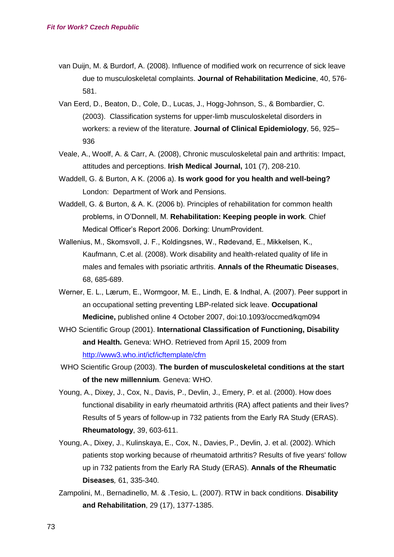- van Duijn, M. & Burdorf, A. (2008). Influence of modified work on recurrence of sick leave due to musculoskeletal complaints. **Journal of Rehabilitation Medicine**, 40, 576- 581.
- Van Eerd, D., Beaton, D., Cole, D., Lucas, J., Hogg-Johnson, S., & Bombardier, C. (2003). Classification systems for upper-limb musculoskeletal disorders in workers: a review of the literature. **Journal of Clinical Epidemiology**, 56, 925– 936
- Veale, A., Woolf, A. & Carr, A. (2008), Chronic musculoskeletal pain and arthritis: Impact, attitudes and perceptions. **Irish Medical Journal,** 101 (7), 208-210.
- Waddell, G. & Burton, A K. (2006 a). **Is work good for you health and well-being?** London: Department of Work and Pensions.
- Waddell, G. & Burton, & A. K. (2006 b). Principles of rehabilitation for common health problems, in O'Donnell, M. **Rehabilitation: Keeping people in work**. Chief Medical Officer's Report 2006. Dorking: UnumProvident.
- Wallenius, M., Skomsvoll, J. F., Koldingsnes, W., Rødevand, E., Mikkelsen, K., Kaufmann, C.et al. (2008). Work disability and health-related quality of life in males and females with psoriatic arthritis. **Annals of the Rheumatic Diseases**, 68, 685-689.
- Werner, E. L., Lærum, E., Wormgoor, M. E., Lindh, E. & Indhal, A. (2007). Peer support in an occupational setting preventing LBP-related sick leave. **Occupational Medicine,** published online 4 October 2007, doi:10.1093/occmed/kqm094
- WHO Scientific Group (2001). **International Classification of Functioning, Disability and Health.** Geneva: WHO. Retrieved from April 15, 2009 from <http://www3.who.int/icf/icftemplate/cfm>
- WHO Scientific Group (2003). **The burden of musculoskeletal conditions at the start of the new millennium***.* Geneva: WHO.
- Young, A., Dixey, J., Cox, N., Davis, P., Devlin, J., Emery, P. et al. (2000). How does functional disability in early rheumatoid arthritis (RA) affect patients and their lives? Results of 5 years of follow-up in 732 patients from the Early RA Study (ERAS). **Rheumatology**, 39, 603-611.
- Young, A., Dixey, J., Kulinskaya, E., Cox, N., Davies, P., Devlin, J. et al. (2002). Which patients stop working because of rheumatoid arthritis? Results of five years' follow up in 732 patients from the Early RA Study (ERAS). **Annals of the Rheumatic Diseases***,* 61, 335-340.
- Zampolini, M., Bernadinello, M. & .Tesio, L. (2007). RTW in back conditions. **Disability and Rehabilitation**, 29 (17), 1377-1385.